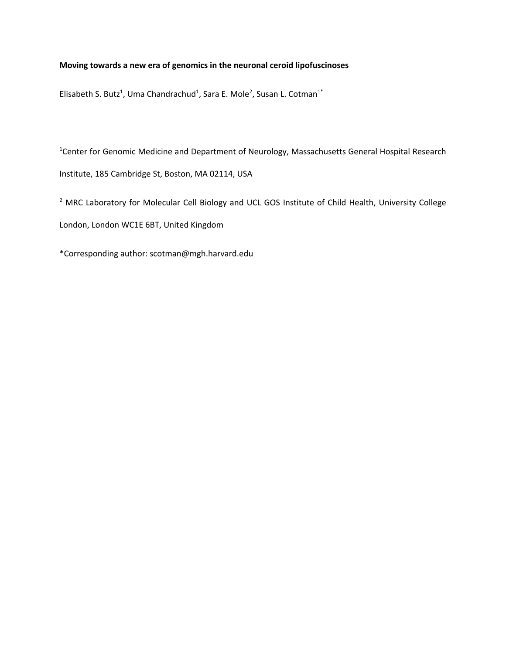# **Moving towards a new era of genomics in the neuronal ceroid lipofuscinoses**

Elisabeth S. Butz<sup>1</sup>, Uma Chandrachud<sup>1</sup>, Sara E. Mole<sup>2</sup>, Susan L. Cotman<sup>1\*</sup>

<sup>1</sup> Center for Genomic Medicine and Department of Neurology, Massachusetts General Hospital Research Institute, 185 Cambridge St, Boston, MA 02114, USA

<sup>2</sup> MRC Laboratory for Molecular Cell Biology and UCL GOS Institute of Child Health, University College London, London WC1E 6BT, United Kingdom

\*Corresponding author: scotman@mgh.harvard.edu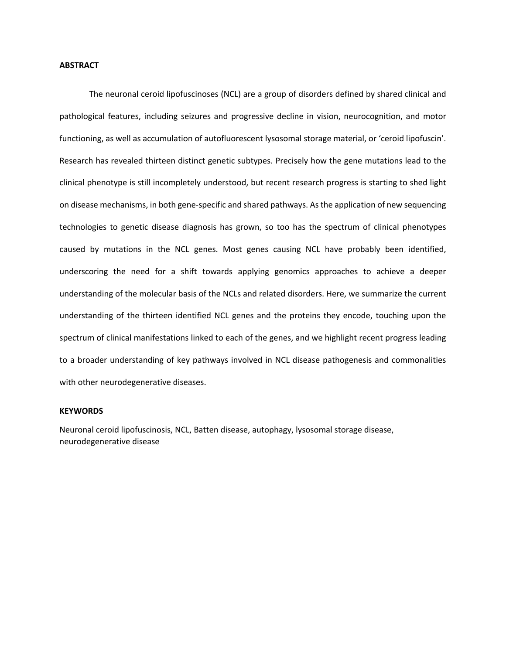# **ABSTRACT**

The neuronal ceroid lipofuscinoses (NCL) are a group of disorders defined by shared clinical and pathological features, including seizures and progressive decline in vision, neurocognition, and motor functioning, as well as accumulation of autofluorescent lysosomal storage material, or 'ceroid lipofuscin'. Research has revealed thirteen distinct genetic subtypes. Precisely how the gene mutations lead to the clinical phenotype is still incompletely understood, but recent research progress is starting to shed light on disease mechanisms, in both gene-specific and shared pathways. As the application of new sequencing technologies to genetic disease diagnosis has grown, so too has the spectrum of clinical phenotypes caused by mutations in the NCL genes. Most genes causing NCL have probably been identified, underscoring the need for a shift towards applying genomics approaches to achieve a deeper understanding of the molecular basis of the NCLs and related disorders. Here, we summarize the current understanding of the thirteen identified NCL genes and the proteins they encode, touching upon the spectrum of clinical manifestations linked to each of the genes, and we highlight recent progress leading to a broader understanding of key pathways involved in NCL disease pathogenesis and commonalities with other neurodegenerative diseases.

# **KEYWORDS**

Neuronal ceroid lipofuscinosis, NCL, Batten disease, autophagy, lysosomal storage disease, neurodegenerative disease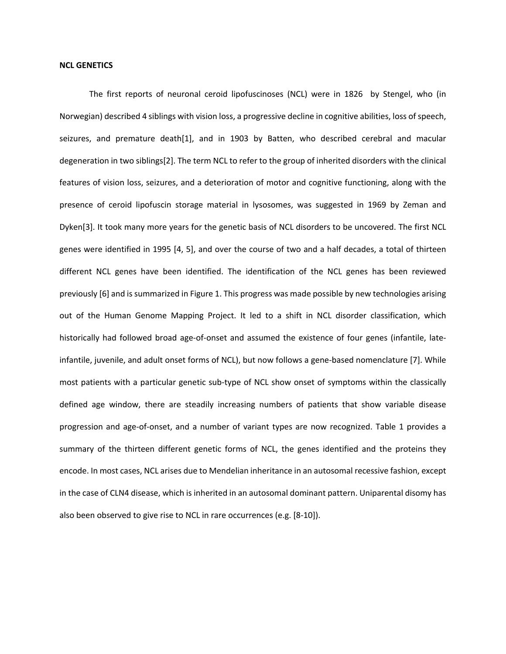#### **NCL GENETICS**

The first reports of neuronal ceroid lipofuscinoses (NCL) were in 1826 by Stengel, who (in Norwegian) described 4 siblings with vision loss, a progressive decline in cognitive abilities, loss of speech, seizures, and premature death[1], and in 1903 by Batten, who described cerebral and macular degeneration in two siblings[2]. The term NCL to refer to the group of inherited disorders with the clinical features of vision loss, seizures, and a deterioration of motor and cognitive functioning, along with the presence of ceroid lipofuscin storage material in lysosomes, was suggested in 1969 by Zeman and Dyken[3]. It took many more years for the genetic basis of NCL disorders to be uncovered. The first NCL genes were identified in 1995 [4, 5], and over the course of two and a half decades, a total of thirteen different NCL genes have been identified. The identification of the NCL genes has been reviewed previously [6] and is summarized in Figure 1. This progress was made possible by new technologies arising out of the Human Genome Mapping Project. It led to a shift in NCL disorder classification, which historically had followed broad age-of-onset and assumed the existence of four genes (infantile, lateinfantile, juvenile, and adult onset forms of NCL), but now follows a gene-based nomenclature [7]. While most patients with a particular genetic sub-type of NCL show onset of symptoms within the classically defined age window, there are steadily increasing numbers of patients that show variable disease progression and age-of-onset, and a number of variant types are now recognized. Table 1 provides a summary of the thirteen different genetic forms of NCL, the genes identified and the proteins they encode. In most cases, NCL arises due to Mendelian inheritance in an autosomal recessive fashion, except in the case of CLN4 disease, which is inherited in an autosomal dominant pattern. Uniparental disomy has also been observed to give rise to NCL in rare occurrences (e.g. [8-10]).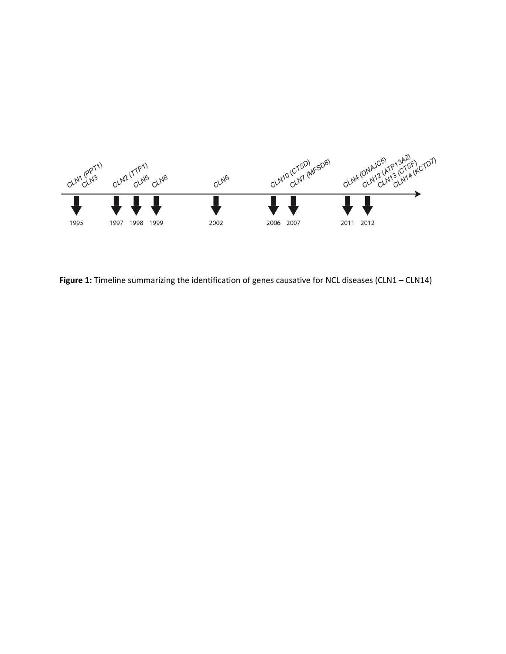

Figure 1: Timeline summarizing the identification of genes causative for NCL diseases (CLN1 – CLN14)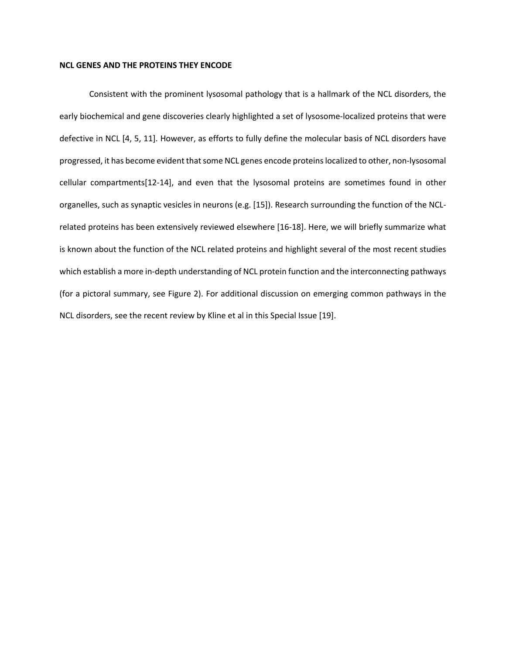# **NCL GENES AND THE PROTEINS THEY ENCODE**

Consistent with the prominent lysosomal pathology that is a hallmark of the NCL disorders, the early biochemical and gene discoveries clearly highlighted a set of lysosome-localized proteins that were defective in NCL [4, 5, 11]. However, as efforts to fully define the molecular basis of NCL disorders have progressed, it has become evident that some NCL genes encode proteins localized to other, non-lysosomal cellular compartments[12-14], and even that the lysosomal proteins are sometimes found in other organelles, such as synaptic vesicles in neurons (e.g. [15]). Research surrounding the function of the NCLrelated proteins has been extensively reviewed elsewhere [16-18]. Here, we will briefly summarize what is known about the function of the NCL related proteins and highlight several of the most recent studies which establish a more in-depth understanding of NCL protein function and the interconnecting pathways (for a pictoral summary, see Figure 2). For additional discussion on emerging common pathways in the NCL disorders, see the recent review by Kline et al in this Special Issue [19].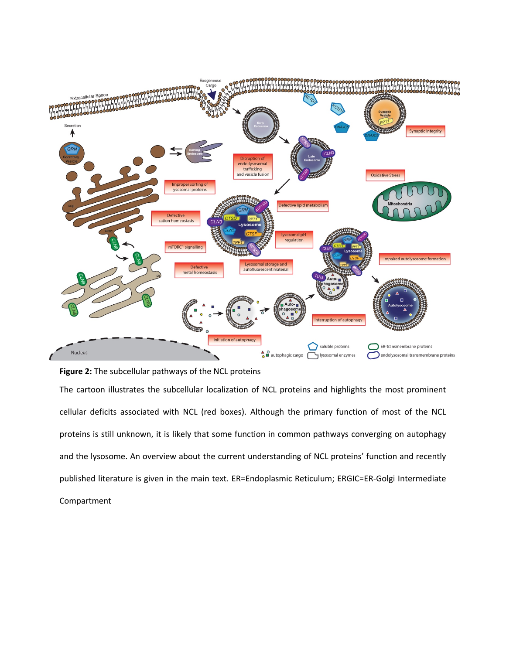

**Figure 2:** The subcellular pathways of the NCL proteins

The cartoon illustrates the subcellular localization of NCL proteins and highlights the most prominent cellular deficits associated with NCL (red boxes). Although the primary function of most of the NCL proteins is still unknown, it is likely that some function in common pathways converging on autophagy and the lysosome. An overview about the current understanding of NCL proteins' function and recently published literature is given in the main text. ER=Endoplasmic Reticulum; ERGIC=ER-Golgi Intermediate Compartment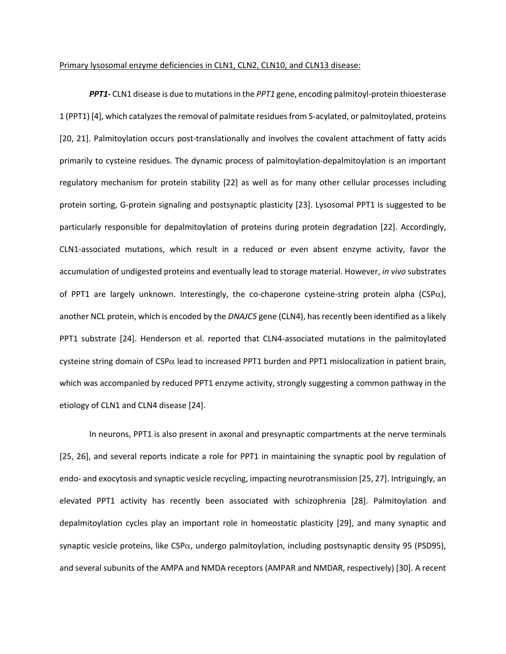#### Primary lysosomal enzyme deficiencies in CLN1, CLN2, CLN10, and CLN13 disease:

*PPT1***-** CLN1 disease is due to mutations in the *PPT1* gene, encoding palmitoyl-protein thioesterase 1 (PPT1) [4], which catalyzes the removal of palmitate residues from S-acylated, or palmitoylated, proteins [20, 21]. Palmitoylation occurs post-translationally and involves the covalent attachment of fatty acids primarily to cysteine residues. The dynamic process of palmitoylation-depalmitoylation is an important regulatory mechanism for protein stability [22] as well as for many other cellular processes including protein sorting, G-protein signaling and postsynaptic plasticity [23]. Lysosomal PPT1 is suggested to be particularly responsible for depalmitoylation of proteins during protein degradation [22]. Accordingly, CLN1-associated mutations, which result in a reduced or even absent enzyme activity, favor the accumulation of undigested proteins and eventually lead to storage material. However, *in vivo* substrates of PPT1 are largely unknown. Interestingly, the co-chaperone cysteine-string protein alpha (CSP $\alpha$ ), another NCL protein, which is encoded by the *DNAJC5* gene (CLN4), has recently been identified as a likely PPT1 substrate [24]. Henderson et al. reported that CLN4-associated mutations in the palmitoylated cysteine string domain of  $CSP\alpha$  lead to increased PPT1 burden and PPT1 mislocalization in patient brain, which was accompanied by reduced PPT1 enzyme activity, strongly suggesting a common pathway in the etiology of CLN1 and CLN4 disease [24].

In neurons, PPT1 is also present in axonal and presynaptic compartments at the nerve terminals [25, 26], and several reports indicate a role for PPT1 in maintaining the synaptic pool by regulation of endo- and exocytosis and synaptic vesicle recycling, impacting neurotransmission [25, 27]. Intriguingly, an elevated PPT1 activity has recently been associated with schizophrenia [28]. Palmitoylation and depalmitoylation cycles play an important role in homeostatic plasticity [29], and many synaptic and synaptic vesicle proteins, like  $CSP\alpha$ , undergo palmitoylation, including postsynaptic density 95 (PSD95), and several subunits of the AMPA and NMDA receptors (AMPAR and NMDAR, respectively) [30]. A recent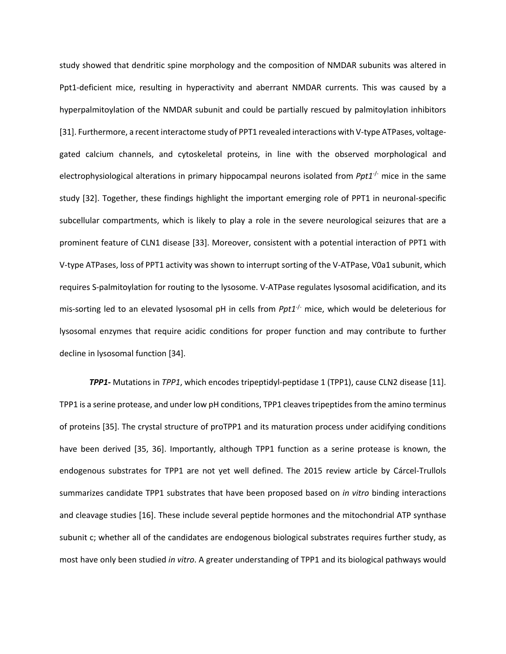study showed that dendritic spine morphology and the composition of NMDAR subunits was altered in Ppt1-deficient mice, resulting in hyperactivity and aberrant NMDAR currents. This was caused by a hyperpalmitoylation of the NMDAR subunit and could be partially rescued by palmitoylation inhibitors [31]. Furthermore, a recent interactome study of PPT1 revealed interactions with V-type ATPases, voltagegated calcium channels, and cytoskeletal proteins, in line with the observed morphological and electrophysiological alterations in primary hippocampal neurons isolated from *Ppt1<sup>-/-</sup>* mice in the same study [32]. Together, these findings highlight the important emerging role of PPT1 in neuronal-specific subcellular compartments, which is likely to play a role in the severe neurological seizures that are a prominent feature of CLN1 disease [33]. Moreover, consistent with a potential interaction of PPT1 with V-type ATPases, loss of PPT1 activity was shown to interrupt sorting of the V-ATPase, V0a1 subunit, which requires S-palmitoylation for routing to the lysosome. V-ATPase regulates lysosomal acidification, and its mis-sorting led to an elevated lysosomal pH in cells from *Ppt1<sup>-/-</sup>* mice, which would be deleterious for lysosomal enzymes that require acidic conditions for proper function and may contribute to further decline in lysosomal function [34].

*TPP1-* Mutations in *TPP1*, which encodes tripeptidyl-peptidase 1 (TPP1), cause CLN2 disease [11]. TPP1 is a serine protease, and under low pH conditions, TPP1 cleaves tripeptides from the amino terminus of proteins [35]. The crystal structure of proTPP1 and its maturation process under acidifying conditions have been derived [35, 36]. Importantly, although TPP1 function as a serine protease is known, the endogenous substrates for TPP1 are not yet well defined. The 2015 review article by Cárcel-Trullols summarizes candidate TPP1 substrates that have been proposed based on *in vitro* binding interactions and cleavage studies [16]. These include several peptide hormones and the mitochondrial ATP synthase subunit c; whether all of the candidates are endogenous biological substrates requires further study, as most have only been studied *in vitro*. A greater understanding of TPP1 and its biological pathways would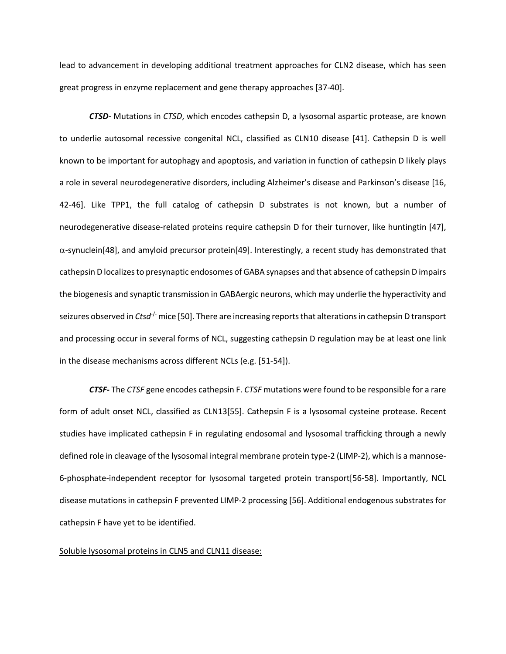lead to advancement in developing additional treatment approaches for CLN2 disease, which has seen great progress in enzyme replacement and gene therapy approaches [37-40].

*CTSD-* Mutations in *CTSD*, which encodes cathepsin D, a lysosomal aspartic protease, are known to underlie autosomal recessive congenital NCL, classified as CLN10 disease [41]. Cathepsin D is well known to be important for autophagy and apoptosis, and variation in function of cathepsin D likely plays a role in several neurodegenerative disorders, including Alzheimer's disease and Parkinson's disease [16, 42-46]. Like TPP1, the full catalog of cathepsin D substrates is not known, but a number of neurodegenerative disease-related proteins require cathepsin D for their turnover, like huntingtin [47],  $\alpha$ -synuclein[48], and amyloid precursor protein[49]. Interestingly, a recent study has demonstrated that cathepsin D localizes to presynaptic endosomes of GABA synapses and that absence of cathepsin D impairs the biogenesis and synaptic transmission in GABAergic neurons, which may underlie the hyperactivity and seizures observed in *Ctsd<sup>-/-</sup>* mice [50]. There are increasing reports that alterations in cathepsin D transport and processing occur in several forms of NCL, suggesting cathepsin D regulation may be at least one link in the disease mechanisms across different NCLs (e.g. [51-54]).

*CTSF-* The *CTSF* gene encodes cathepsin F. *CTSF* mutations were found to be responsible for a rare form of adult onset NCL, classified as CLN13[55]. Cathepsin F is a lysosomal cysteine protease. Recent studies have implicated cathepsin F in regulating endosomal and lysosomal trafficking through a newly defined role in cleavage of the lysosomal integral membrane protein type-2 (LIMP-2), which is a mannose-6-phosphate-independent receptor for lysosomal targeted protein transport[56-58]. Importantly, NCL disease mutations in cathepsin F prevented LIMP-2 processing [56]. Additional endogenous substrates for cathepsin F have yet to be identified.

### Soluble lysosomal proteins in CLN5 and CLN11 disease: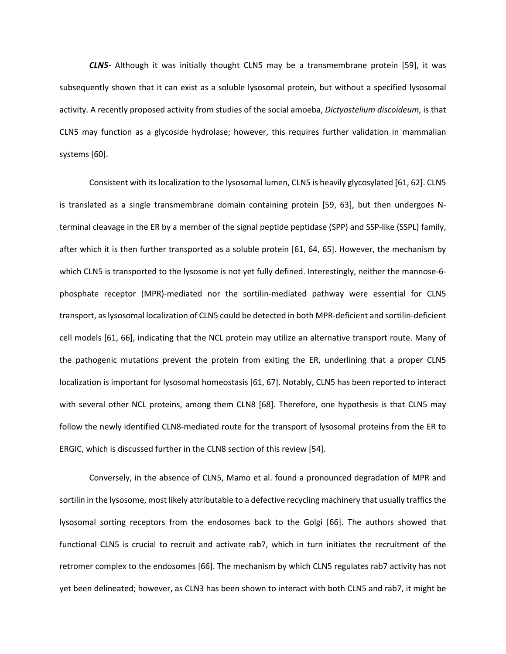*CLN5-* Although it was initially thought CLN5 may be a transmembrane protein [59], it was subsequently shown that it can exist as a soluble lysosomal protein, but without a specified lysosomal activity. A recently proposed activity from studies of the social amoeba, *Dictyostelium discoideum*, is that CLN5 may function as a glycoside hydrolase; however, this requires further validation in mammalian systems [60].

Consistent with its localization to the lysosomal lumen, CLN5 is heavily glycosylated [61, 62]. CLN5 is translated as a single transmembrane domain containing protein [59, 63], but then undergoes Nterminal cleavage in the ER by a member of the signal peptide peptidase (SPP) and SSP-like (SSPL) family, after which it is then further transported as a soluble protein [61, 64, 65]. However, the mechanism by which CLN5 is transported to the lysosome is not yet fully defined. Interestingly, neither the mannose-6phosphate receptor (MPR)-mediated nor the sortilin-mediated pathway were essential for CLN5 transport, as lysosomal localization of CLN5 could be detected in both MPR-deficient and sortilin-deficient cell models [61, 66], indicating that the NCL protein may utilize an alternative transport route. Many of the pathogenic mutations prevent the protein from exiting the ER, underlining that a proper CLN5 localization is important for lysosomal homeostasis [61, 67]. Notably, CLN5 has been reported to interact with several other NCL proteins, among them CLN8 [68]. Therefore, one hypothesis is that CLN5 may follow the newly identified CLN8-mediated route for the transport of lysosomal proteins from the ER to ERGIC, which is discussed further in the CLN8 section of this review [54].

Conversely, in the absence of CLN5, Mamo et al. found a pronounced degradation of MPR and sortilin in the lysosome, most likely attributable to a defective recycling machinery that usually traffics the lysosomal sorting receptors from the endosomes back to the Golgi [66]. The authors showed that functional CLN5 is crucial to recruit and activate rab7, which in turn initiates the recruitment of the retromer complex to the endosomes [66]. The mechanism by which CLN5 regulates rab7 activity has not yet been delineated; however, as CLN3 has been shown to interact with both CLN5 and rab7, it might be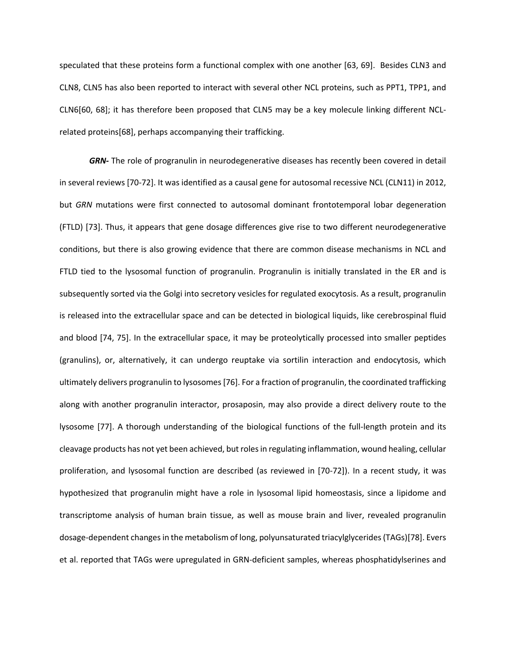speculated that these proteins form a functional complex with one another [63, 69]. Besides CLN3 and CLN8, CLN5 has also been reported to interact with several other NCL proteins, such as PPT1, TPP1, and CLN6[60, 68]; it has therefore been proposed that CLN5 may be a key molecule linking different NCLrelated proteins[68], perhaps accompanying their trafficking.

*GRN-* The role of progranulin in neurodegenerative diseases has recently been covered in detail in several reviews [70-72]. It was identified as a causal gene for autosomal recessive NCL (CLN11) in 2012, but *GRN* mutations were first connected to autosomal dominant frontotemporal lobar degeneration (FTLD) [73]. Thus, it appears that gene dosage differences give rise to two different neurodegenerative conditions, but there is also growing evidence that there are common disease mechanisms in NCL and FTLD tied to the lysosomal function of progranulin. Progranulin is initially translated in the ER and is subsequently sorted via the Golgi into secretory vesicles for regulated exocytosis. As a result, progranulin is released into the extracellular space and can be detected in biological liquids, like cerebrospinal fluid and blood [74, 75]. In the extracellular space, it may be proteolytically processed into smaller peptides (granulins), or, alternatively, it can undergo reuptake via sortilin interaction and endocytosis, which ultimately delivers progranulin to lysosomes[76]. For a fraction of progranulin, the coordinated trafficking along with another progranulin interactor, prosaposin, may also provide a direct delivery route to the lysosome [77]. A thorough understanding of the biological functions of the full-length protein and its cleavage products has not yet been achieved, but rolesin regulating inflammation, wound healing, cellular proliferation, and lysosomal function are described (as reviewed in [70-72]). In a recent study, it was hypothesized that progranulin might have a role in lysosomal lipid homeostasis, since a lipidome and transcriptome analysis of human brain tissue, as well as mouse brain and liver, revealed progranulin dosage-dependent changes in the metabolism of long, polyunsaturated triacylglycerides (TAGs)[78]. Evers et al. reported that TAGs were upregulated in GRN-deficient samples, whereas phosphatidylserines and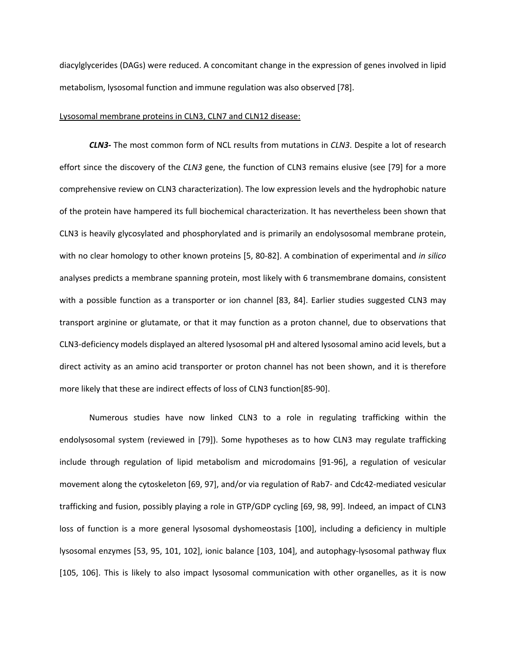diacylglycerides (DAGs) were reduced. A concomitant change in the expression of genes involved in lipid metabolism, lysosomal function and immune regulation was also observed [78].

#### Lysosomal membrane proteins in CLN3, CLN7 and CLN12 disease:

*CLN3-* The most common form of NCL results from mutations in *CLN3*. Despite a lot of research effort since the discovery of the *CLN3* gene, the function of CLN3 remains elusive (see [79] for a more comprehensive review on CLN3 characterization). The low expression levels and the hydrophobic nature of the protein have hampered its full biochemical characterization. It has nevertheless been shown that CLN3 is heavily glycosylated and phosphorylated and is primarily an endolysosomal membrane protein, with no clear homology to other known proteins [5, 80-82]. A combination of experimental and *in silico* analyses predicts a membrane spanning protein, most likely with 6 transmembrane domains, consistent with a possible function as a transporter or ion channel [83, 84]. Earlier studies suggested CLN3 may transport arginine or glutamate, or that it may function as a proton channel, due to observations that CLN3-deficiency models displayed an altered lysosomal pH and altered lysosomal amino acid levels, but a direct activity as an amino acid transporter or proton channel has not been shown, and it is therefore more likely that these are indirect effects of loss of CLN3 function[85-90].

Numerous studies have now linked CLN3 to a role in regulating trafficking within the endolysosomal system (reviewed in [79]). Some hypotheses as to how CLN3 may regulate trafficking include through regulation of lipid metabolism and microdomains [91-96], a regulation of vesicular movement along the cytoskeleton [69, 97], and/or via regulation of Rab7- and Cdc42-mediated vesicular trafficking and fusion, possibly playing a role in GTP/GDP cycling [69, 98, 99]. Indeed, an impact of CLN3 loss of function is a more general lysosomal dyshomeostasis [100], including a deficiency in multiple lysosomal enzymes [53, 95, 101, 102], ionic balance [103, 104], and autophagy-lysosomal pathway flux [105, 106]. This is likely to also impact lysosomal communication with other organelles, as it is now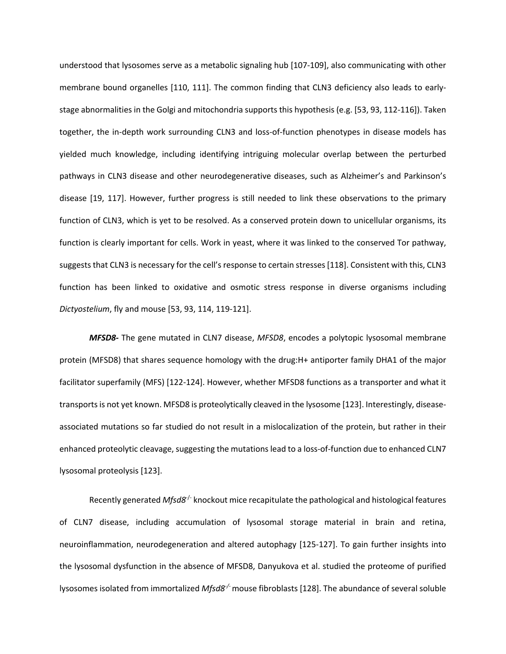understood that lysosomes serve as a metabolic signaling hub [107-109], also communicating with other membrane bound organelles [110, 111]. The common finding that CLN3 deficiency also leads to earlystage abnormalities in the Golgi and mitochondria supports this hypothesis (e.g. [53, 93, 112-116]). Taken together, the in-depth work surrounding CLN3 and loss-of-function phenotypes in disease models has yielded much knowledge, including identifying intriguing molecular overlap between the perturbed pathways in CLN3 disease and other neurodegenerative diseases, such as Alzheimer's and Parkinson's disease [19, 117]. However, further progress is still needed to link these observations to the primary function of CLN3, which is yet to be resolved. As a conserved protein down to unicellular organisms, its function is clearly important for cells. Work in yeast, where it was linked to the conserved Tor pathway, suggests that CLN3 is necessary for the cell's response to certain stresses[118]. Consistent with this, CLN3 function has been linked to oxidative and osmotic stress response in diverse organisms including *Dictyostelium*, fly and mouse [53, 93, 114, 119-121].

*MFSD8-* The gene mutated in CLN7 disease, *MFSD8*, encodes a polytopic lysosomal membrane protein (MFSD8) that shares sequence homology with the drug:H+ antiporter family DHA1 of the major facilitator superfamily (MFS) [122-124]. However, whether MFSD8 functions as a transporter and what it transportsis not yet known. MFSD8 is proteolytically cleaved in the lysosome [123]. Interestingly, diseaseassociated mutations so far studied do not result in a mislocalization of the protein, but rather in their enhanced proteolytic cleavage, suggesting the mutations lead to a loss-of-function due to enhanced CLN7 lysosomal proteolysis [123].

Recently generated *Mfsd8<sup>-/-</sup>* knockout mice recapitulate the pathological and histological features of CLN7 disease, including accumulation of lysosomal storage material in brain and retina, neuroinflammation, neurodegeneration and altered autophagy [125-127]. To gain further insights into the lysosomal dysfunction in the absence of MFSD8, Danyukova et al. studied the proteome of purified lysosomes isolated from immortalized *Mfsd8-/-* mouse fibroblasts [128]. The abundance of several soluble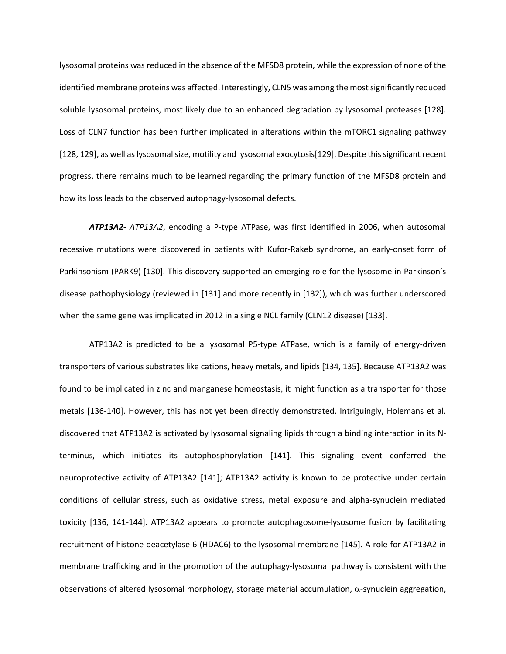lysosomal proteins was reduced in the absence of the MFSD8 protein, while the expression of none of the identified membrane proteins was affected. Interestingly, CLN5 was among the most significantly reduced soluble lysosomal proteins, most likely due to an enhanced degradation by lysosomal proteases [128]. Loss of CLN7 function has been further implicated in alterations within the mTORC1 signaling pathway [128, 129], as well as lysosomal size, motility and lysosomal exocytosis[129]. Despite this significant recent progress, there remains much to be learned regarding the primary function of the MFSD8 protein and how its loss leads to the observed autophagy-lysosomal defects.

*ATP13A2- ATP13A2*, encoding a P-type ATPase, was first identified in 2006, when autosomal recessive mutations were discovered in patients with Kufor-Rakeb syndrome, an early-onset form of Parkinsonism (PARK9) [130]. This discovery supported an emerging role for the lysosome in Parkinson's disease pathophysiology (reviewed in [131] and more recently in [132]), which was further underscored when the same gene was implicated in 2012 in a single NCL family (CLN12 disease) [133].

ATP13A2 is predicted to be a lysosomal P5-type ATPase, which is a family of energy-driven transporters of various substrates like cations, heavy metals, and lipids [134, 135]. Because ATP13A2 was found to be implicated in zinc and manganese homeostasis, it might function as a transporter for those metals [136-140]. However, this has not yet been directly demonstrated. Intriguingly, Holemans et al. discovered that ATP13A2 is activated by lysosomal signaling lipids through a binding interaction in its Nterminus, which initiates its autophosphorylation [141]. This signaling event conferred the neuroprotective activity of ATP13A2 [141]; ATP13A2 activity is known to be protective under certain conditions of cellular stress, such as oxidative stress, metal exposure and alpha-synuclein mediated toxicity [136, 141-144]. ATP13A2 appears to promote autophagosome-lysosome fusion by facilitating recruitment of histone deacetylase 6 (HDAC6) to the lysosomal membrane [145]. A role for ATP13A2 in membrane trafficking and in the promotion of the autophagy-lysosomal pathway is consistent with the observations of altered lysosomal morphology, storage material accumulation,  $\alpha$ -synuclein aggregation,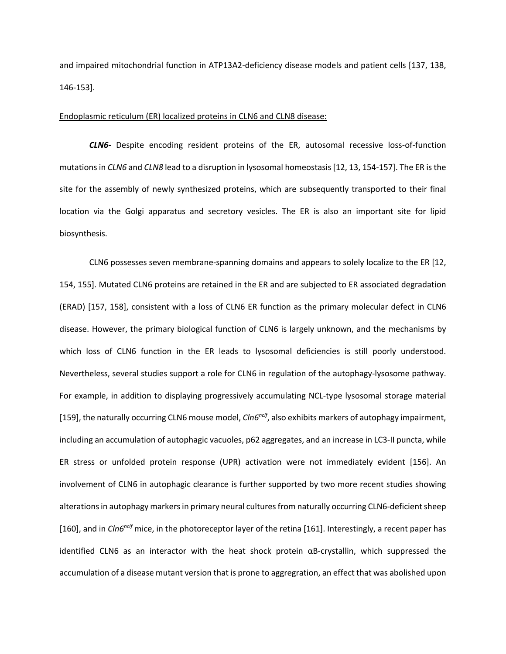and impaired mitochondrial function in ATP13A2-deficiency disease models and patient cells [137, 138, 146-153].

# Endoplasmic reticulum (ER) localized proteins in CLN6 and CLN8 disease:

*CLN6***-** Despite encoding resident proteins of the ER, autosomal recessive loss-of-function mutations in *CLN6* and *CLN8* lead to a disruption in lysosomal homeostasis[12, 13, 154-157]. The ER is the site for the assembly of newly synthesized proteins, which are subsequently transported to their final location via the Golgi apparatus and secretory vesicles. The ER is also an important site for lipid biosynthesis.

CLN6 possesses seven membrane-spanning domains and appears to solely localize to the ER [12, 154, 155]. Mutated CLN6 proteins are retained in the ER and are subjected to ER associated degradation (ERAD) [157, 158], consistent with a loss of CLN6 ER function as the primary molecular defect in CLN6 disease. However, the primary biological function of CLN6 is largely unknown, and the mechanisms by which loss of CLN6 function in the ER leads to lysosomal deficiencies is still poorly understood. Nevertheless, several studies support a role for CLN6 in regulation of the autophagy-lysosome pathway. For example, in addition to displaying progressively accumulating NCL-type lysosomal storage material [159], the naturally occurring CLN6 mouse model, *Cln6nclf*, also exhibits markers of autophagy impairment, including an accumulation of autophagic vacuoles, p62 aggregates, and an increase in LC3-II puncta, while ER stress or unfolded protein response (UPR) activation were not immediately evident [156]. An involvement of CLN6 in autophagic clearance is further supported by two more recent studies showing alterations in autophagy markersin primary neural cultures from naturally occurring CLN6-deficient sheep [160], and in *Cln6<sup>nclf</sup>* mice, in the photoreceptor layer of the retina [161]. Interestingly, a recent paper has identified CLN6 as an interactor with the heat shock protein  $\alpha$ B-crystallin, which suppressed the accumulation of a disease mutant version that is prone to aggregration, an effect that was abolished upon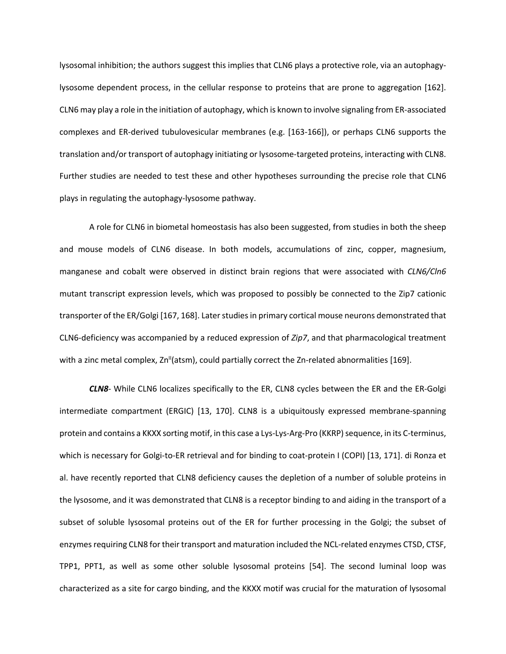lysosomal inhibition; the authors suggest this implies that CLN6 plays a protective role, via an autophagylysosome dependent process, in the cellular response to proteins that are prone to aggregation [162]. CLN6 may play a role in the initiation of autophagy, which is known to involve signaling from ER-associated complexes and ER-derived tubulovesicular membranes (e.g. [163-166]), or perhaps CLN6 supports the translation and/or transport of autophagy initiating or lysosome-targeted proteins, interacting with CLN8. Further studies are needed to test these and other hypotheses surrounding the precise role that CLN6 plays in regulating the autophagy-lysosome pathway.

A role for CLN6 in biometal homeostasis has also been suggested, from studies in both the sheep and mouse models of CLN6 disease. In both models, accumulations of zinc, copper, magnesium, manganese and cobalt were observed in distinct brain regions that were associated with *CLN6/Cln6* mutant transcript expression levels, which was proposed to possibly be connected to the Zip7 cationic transporter of the ER/Golgi [167, 168]. Later studies in primary cortical mouse neurons demonstrated that CLN6-deficiency was accompanied by a reduced expression of *Zip7*, and that pharmacological treatment with a zinc metal complex,  $\text{Zn}^{\text{II}}(\text{atsm})$ , could partially correct the Zn-related abnormalities [169].

*CLN8*- While CLN6 localizes specifically to the ER, CLN8 cycles between the ER and the ER-Golgi intermediate compartment (ERGIC) [13, 170]. CLN8 is a ubiquitously expressed membrane-spanning protein and contains a KKXX sorting motif, in this case a Lys-Lys-Arg-Pro (KKRP) sequence, in its C-terminus, which is necessary for Golgi-to-ER retrieval and for binding to coat-protein I (COPI) [13, 171]. di Ronza et al. have recently reported that CLN8 deficiency causes the depletion of a number of soluble proteins in the lysosome, and it was demonstrated that CLN8 is a receptor binding to and aiding in the transport of a subset of soluble lysosomal proteins out of the ER for further processing in the Golgi; the subset of enzymes requiring CLN8 for their transport and maturation included the NCL-related enzymes CTSD, CTSF, TPP1, PPT1, as well as some other soluble lysosomal proteins [54]. The second luminal loop was characterized as a site for cargo binding, and the KKXX motif was crucial for the maturation of lysosomal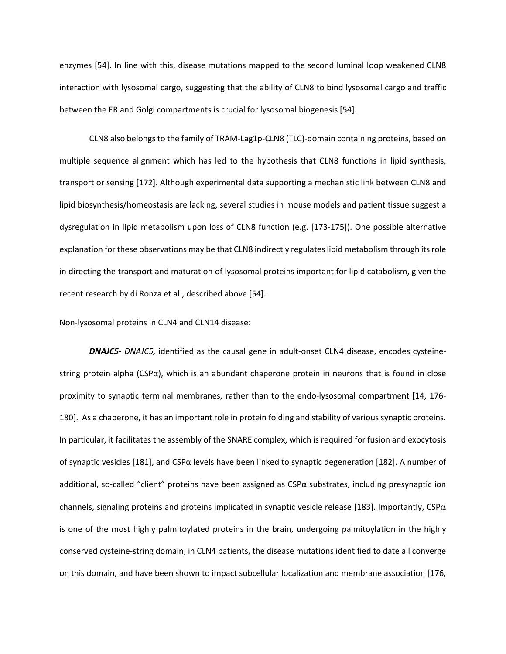enzymes [54]. In line with this, disease mutations mapped to the second luminal loop weakened CLN8 interaction with lysosomal cargo, suggesting that the ability of CLN8 to bind lysosomal cargo and traffic between the ER and Golgi compartments is crucial for lysosomal biogenesis [54].

CLN8 also belongs to the family of TRAM-Lag1p-CLN8 (TLC)-domain containing proteins, based on multiple sequence alignment which has led to the hypothesis that CLN8 functions in lipid synthesis, transport or sensing [172]. Although experimental data supporting a mechanistic link between CLN8 and lipid biosynthesis/homeostasis are lacking, several studies in mouse models and patient tissue suggest a dysregulation in lipid metabolism upon loss of CLN8 function (e.g. [173-175]). One possible alternative explanation for these observations may be that CLN8 indirectly regulates lipid metabolism through its role in directing the transport and maturation of lysosomal proteins important for lipid catabolism, given the recent research by di Ronza et al., described above [54].

# Non-lysosomal proteins in CLN4 and CLN14 disease:

*DNAJC5- DNAJC5,* identified as the causal gene in adult-onset CLN4 disease, encodes cysteinestring protein alpha ( $CSP\alpha$ ), which is an abundant chaperone protein in neurons that is found in close proximity to synaptic terminal membranes, rather than to the endo-lysosomal compartment [14, 176- 180]. As a chaperone, it has an important role in protein folding and stability of various synaptic proteins. In particular, it facilitates the assembly of the SNARE complex, which is required for fusion and exocytosis of synaptic vesicles [181], and CSPα levels have been linked to synaptic degeneration [182]. A number of additional, so-called "client" proteins have been assigned as  $CSP\alpha$  substrates, including presynaptic ion channels, signaling proteins and proteins implicated in synaptic vesicle release [183]. Importantly, CSP $\alpha$ is one of the most highly palmitoylated proteins in the brain, undergoing palmitoylation in the highly conserved cysteine-string domain; in CLN4 patients, the disease mutations identified to date all converge on this domain, and have been shown to impact subcellular localization and membrane association [176,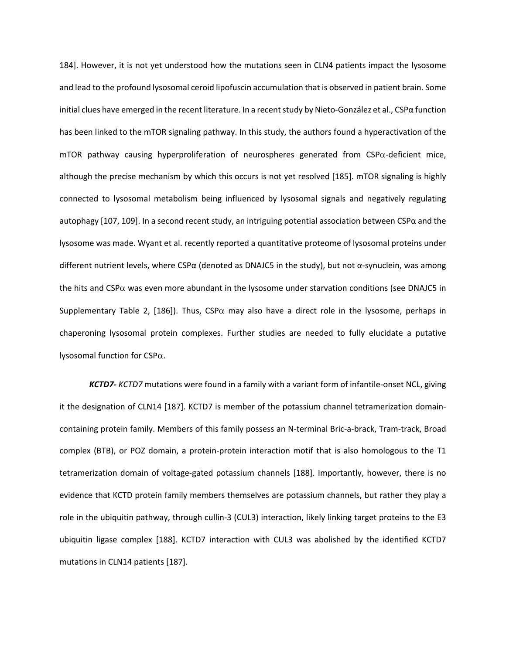184]. However, it is not yet understood how the mutations seen in CLN4 patients impact the lysosome and lead to the profound lysosomal ceroid lipofuscin accumulation that is observed in patient brain. Some initial clues have emerged in the recent literature. In a recent study by Nieto-González et al., CSPα function has been linked to the mTOR signaling pathway. In this study, the authors found a hyperactivation of the  $mTOR$  pathway causing hyperproliferation of neurospheres generated from  $CSP\alpha$ -deficient mice, although the precise mechanism by which this occurs is not yet resolved [185]. mTOR signaling is highly connected to lysosomal metabolism being influenced by lysosomal signals and negatively regulating autophagy [107, 109]. In a second recent study, an intriguing potential association between CSPα and the lysosome was made. Wyant et al. recently reported a quantitative proteome of lysosomal proteins under different nutrient levels, where CSP $\alpha$  (denoted as DNAJC5 in the study), but not  $\alpha$ -synuclein, was among the hits and CSP $\alpha$  was even more abundant in the lysosome under starvation conditions (see DNAJC5 in Supplementary Table 2, [186]). Thus,  $CSP\alpha$  may also have a direct role in the lysosome, perhaps in chaperoning lysosomal protein complexes. Further studies are needed to fully elucidate a putative lysosomal function for CSPa.

*KCTD7- KCTD7* mutations were found in a family with a variant form of infantile-onset NCL, giving it the designation of CLN14 [187]. KCTD7 is member of the potassium channel tetramerization domaincontaining protein family. Members of this family possess an N-terminal Bric-a-brack, Tram-track, Broad complex (BTB), or POZ domain, a protein-protein interaction motif that is also homologous to the T1 tetramerization domain of voltage-gated potassium channels [188]. Importantly, however, there is no evidence that KCTD protein family members themselves are potassium channels, but rather they play a role in the ubiquitin pathway, through cullin-3 (CUL3) interaction, likely linking target proteins to the E3 ubiquitin ligase complex [188]. KCTD7 interaction with CUL3 was abolished by the identified KCTD7 mutations in CLN14 patients [187].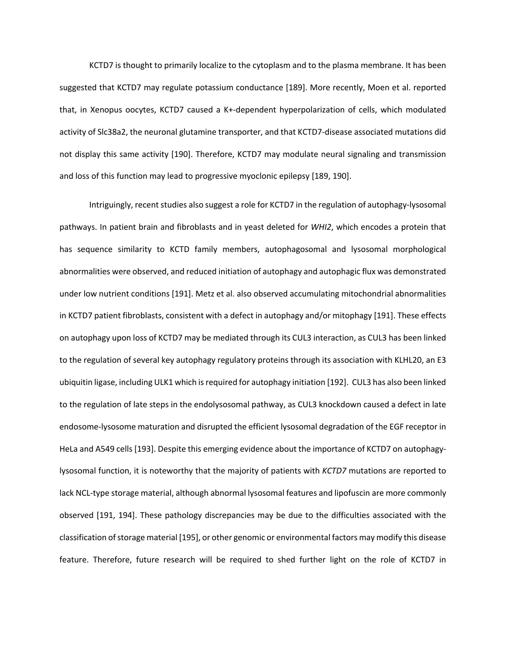KCTD7 is thought to primarily localize to the cytoplasm and to the plasma membrane. It has been suggested that KCTD7 may regulate potassium conductance [189]. More recently, Moen et al. reported that, in Xenopus oocytes, KCTD7 caused a K+-dependent hyperpolarization of cells, which modulated activity of Slc38a2, the neuronal glutamine transporter, and that KCTD7-disease associated mutations did not display this same activity [190]. Therefore, KCTD7 may modulate neural signaling and transmission and loss of this function may lead to progressive myoclonic epilepsy [189, 190].

Intriguingly, recent studies also suggest a role for KCTD7 in the regulation of autophagy-lysosomal pathways. In patient brain and fibroblasts and in yeast deleted for *WHI2*, which encodes a protein that has sequence similarity to KCTD family members, autophagosomal and lysosomal morphological abnormalities were observed, and reduced initiation of autophagy and autophagic flux was demonstrated under low nutrient conditions [191]. Metz et al. also observed accumulating mitochondrial abnormalities in KCTD7 patient fibroblasts, consistent with a defect in autophagy and/or mitophagy [191]. These effects on autophagy upon loss of KCTD7 may be mediated through its CUL3 interaction, as CUL3 has been linked to the regulation of several key autophagy regulatory proteins through its association with KLHL20, an E3 ubiquitin ligase, including ULK1 which is required for autophagy initiation [192]. CUL3 has also been linked to the regulation of late steps in the endolysosomal pathway, as CUL3 knockdown caused a defect in late endosome-lysosome maturation and disrupted the efficient lysosomal degradation of the EGF receptor in HeLa and A549 cells [193]. Despite this emerging evidence about the importance of KCTD7 on autophagylysosomal function, it is noteworthy that the majority of patients with *KCTD7* mutations are reported to lack NCL-type storage material, although abnormal lysosomal features and lipofuscin are more commonly observed [191, 194]. These pathology discrepancies may be due to the difficulties associated with the classification of storage material [195], or other genomic or environmental factors may modify this disease feature. Therefore, future research will be required to shed further light on the role of KCTD7 in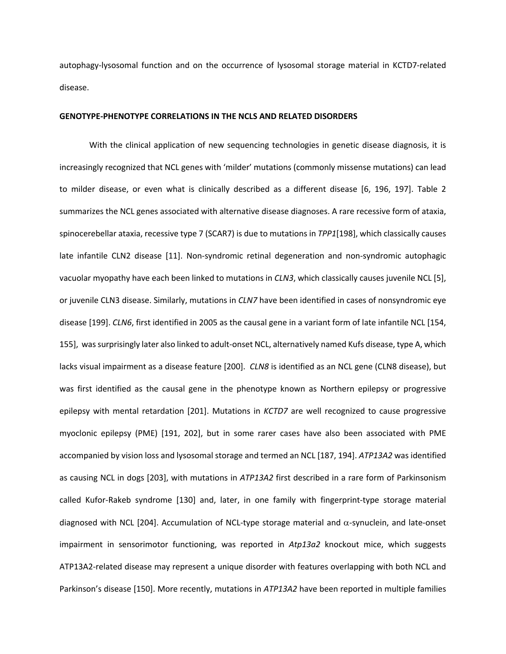autophagy-lysosomal function and on the occurrence of lysosomal storage material in KCTD7-related disease.

# **GENOTYPE-PHENOTYPE CORRELATIONS IN THE NCLS AND RELATED DISORDERS**

With the clinical application of new sequencing technologies in genetic disease diagnosis, it is increasingly recognized that NCL genes with 'milder' mutations (commonly missense mutations) can lead to milder disease, or even what is clinically described as a different disease [6, 196, 197]. Table 2 summarizes the NCL genes associated with alternative disease diagnoses. A rare recessive form of ataxia, spinocerebellar ataxia, recessive type 7 (SCAR7) is due to mutations in *TPP1*[198], which classically causes late infantile CLN2 disease [11]. Non-syndromic retinal degeneration and non-syndromic autophagic vacuolar myopathy have each been linked to mutations in *CLN3*, which classically causes juvenile NCL [5], or juvenile CLN3 disease. Similarly, mutations in *CLN7* have been identified in cases of nonsyndromic eye disease [199]. *CLN6*, first identified in 2005 as the causal gene in a variant form of late infantile NCL [154, 155], was surprisingly later also linked to adult-onset NCL, alternatively named Kufs disease, type A, which lacks visual impairment as a disease feature [200]. *CLN8* is identified as an NCL gene (CLN8 disease), but was first identified as the causal gene in the phenotype known as Northern epilepsy or progressive epilepsy with mental retardation [201]. Mutations in *KCTD7* are well recognized to cause progressive myoclonic epilepsy (PME) [191, 202], but in some rarer cases have also been associated with PME accompanied by vision loss and lysosomal storage and termed an NCL [187, 194]. *ATP13A2* was identified as causing NCL in dogs [203], with mutations in *ATP13A2* first described in a rare form of Parkinsonism called Kufor-Rakeb syndrome [130] and, later, in one family with fingerprint-type storage material diagnosed with NCL [204]. Accumulation of NCL-type storage material and  $\alpha$ -synuclein, and late-onset impairment in sensorimotor functioning, was reported in *Atp13a2* knockout mice, which suggests ATP13A2-related disease may represent a unique disorder with features overlapping with both NCL and Parkinson's disease [150]. More recently, mutations in *ATP13A2* have been reported in multiple families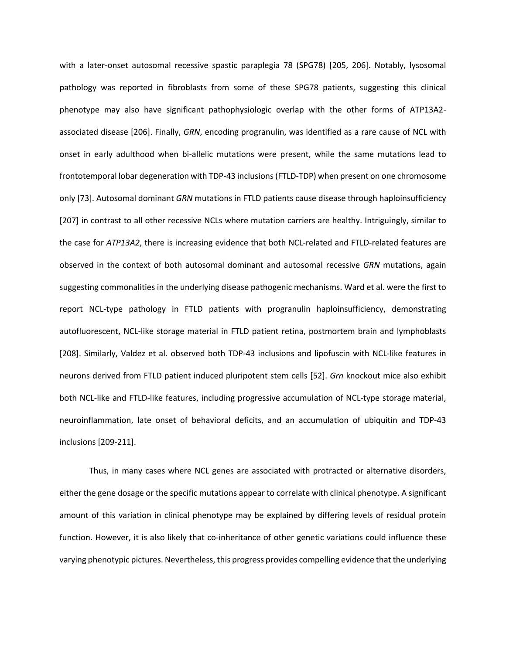with a later-onset autosomal recessive spastic paraplegia 78 (SPG78) [205, 206]. Notably, lysosomal pathology was reported in fibroblasts from some of these SPG78 patients, suggesting this clinical phenotype may also have significant pathophysiologic overlap with the other forms of ATP13A2 associated disease [206]. Finally, *GRN*, encoding progranulin, was identified as a rare cause of NCL with onset in early adulthood when bi-allelic mutations were present, while the same mutations lead to frontotemporal lobar degeneration with TDP-43 inclusions (FTLD-TDP) when present on one chromosome only [73]. Autosomal dominant *GRN* mutations in FTLD patients cause disease through haploinsufficiency [207] in contrast to all other recessive NCLs where mutation carriers are healthy. Intriguingly, similar to the case for *ATP13A2*, there is increasing evidence that both NCL-related and FTLD-related features are observed in the context of both autosomal dominant and autosomal recessive *GRN* mutations, again suggesting commonalities in the underlying disease pathogenic mechanisms. Ward et al. were the first to report NCL-type pathology in FTLD patients with progranulin haploinsufficiency, demonstrating autofluorescent, NCL-like storage material in FTLD patient retina, postmortem brain and lymphoblasts [208]. Similarly, Valdez et al. observed both TDP-43 inclusions and lipofuscin with NCL-like features in neurons derived from FTLD patient induced pluripotent stem cells [52]. *Grn* knockout mice also exhibit both NCL-like and FTLD-like features, including progressive accumulation of NCL-type storage material, neuroinflammation, late onset of behavioral deficits, and an accumulation of ubiquitin and TDP-43 inclusions [209-211].

Thus, in many cases where NCL genes are associated with protracted or alternative disorders, either the gene dosage or the specific mutations appear to correlate with clinical phenotype. A significant amount of this variation in clinical phenotype may be explained by differing levels of residual protein function. However, it is also likely that co-inheritance of other genetic variations could influence these varying phenotypic pictures. Nevertheless, this progress provides compelling evidence that the underlying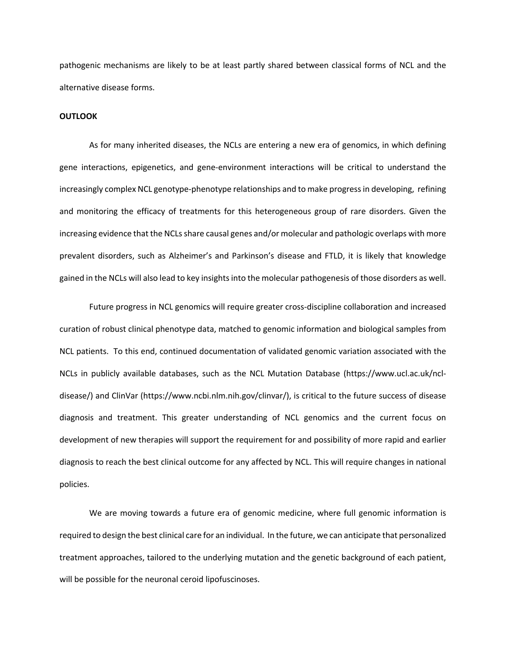pathogenic mechanisms are likely to be at least partly shared between classical forms of NCL and the alternative disease forms.

# **OUTLOOK**

As for many inherited diseases, the NCLs are entering a new era of genomics, in which defining gene interactions, epigenetics, and gene-environment interactions will be critical to understand the increasingly complex NCL genotype-phenotype relationships and to make progress in developing, refining and monitoring the efficacy of treatments for this heterogeneous group of rare disorders. Given the increasing evidence that the NCLs share causal genes and/or molecular and pathologic overlaps with more prevalent disorders, such as Alzheimer's and Parkinson's disease and FTLD, it is likely that knowledge gained in the NCLs will also lead to key insights into the molecular pathogenesis of those disorders as well.

Future progress in NCL genomics will require greater cross-discipline collaboration and increased curation of robust clinical phenotype data, matched to genomic information and biological samples from NCL patients. To this end, continued documentation of validated genomic variation associated with the NCLs in publicly available databases, such as the NCL Mutation Database (https://www.ucl.ac.uk/ncldisease/) and ClinVar (https://www.ncbi.nlm.nih.gov/clinvar/), is critical to the future success of disease diagnosis and treatment. This greater understanding of NCL genomics and the current focus on development of new therapies will support the requirement for and possibility of more rapid and earlier diagnosis to reach the best clinical outcome for any affected by NCL. This will require changes in national policies.

We are moving towards a future era of genomic medicine, where full genomic information is required to design the best clinical care for an individual. In the future, we can anticipate that personalized treatment approaches, tailored to the underlying mutation and the genetic background of each patient, will be possible for the neuronal ceroid lipofuscinoses.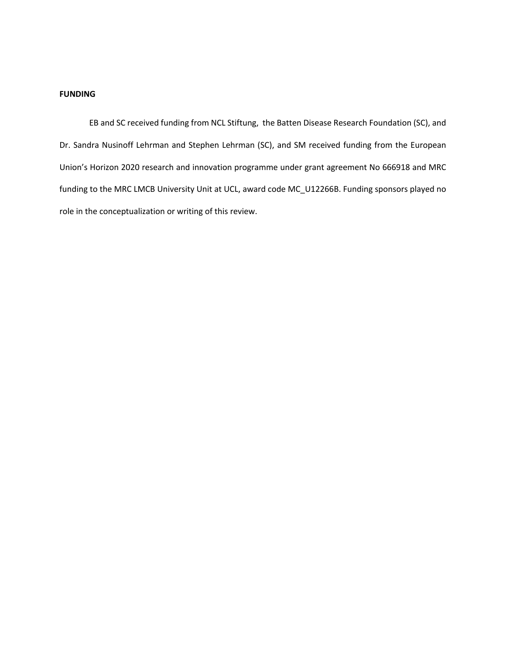# **FUNDING**

EB and SC received funding from NCL Stiftung, the Batten Disease Research Foundation (SC), and Dr. Sandra Nusinoff Lehrman and Stephen Lehrman (SC), and SM received funding from the European Union's Horizon 2020 research and innovation programme under grant agreement No 666918 and MRC funding to the MRC LMCB University Unit at UCL, award code MC\_U12266B. Funding sponsors played no role in the conceptualization or writing of this review.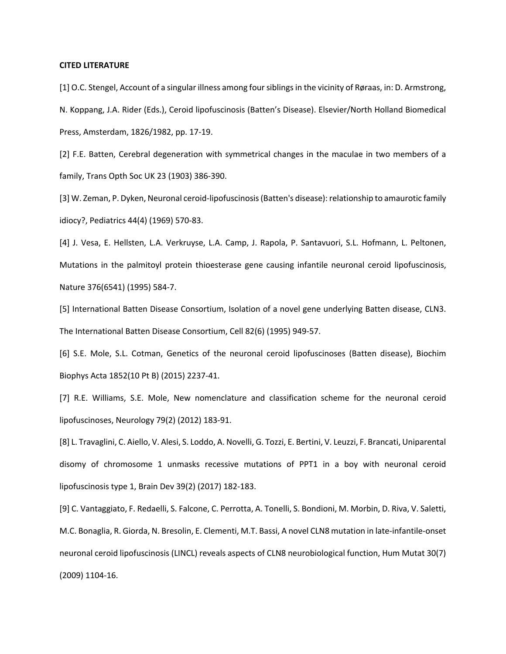### **CITED LITERATURE**

[1] O.C. Stengel, Account of a singular illness among four siblings in the vicinity of Røraas, in: D. Armstrong, N. Koppang, J.A. Rider (Eds.), Ceroid lipofuscinosis (Batten's Disease). Elsevier/North Holland Biomedical Press, Amsterdam, 1826/1982, pp. 17-19.

[2] F.E. Batten, Cerebral degeneration with symmetrical changes in the maculae in two members of a family, Trans Opth Soc UK 23 (1903) 386-390.

[3] W. Zeman, P. Dyken, Neuronal ceroid-lipofuscinosis (Batten's disease): relationship to amaurotic family idiocy?, Pediatrics 44(4) (1969) 570-83.

[4] J. Vesa, E. Hellsten, L.A. Verkruyse, L.A. Camp, J. Rapola, P. Santavuori, S.L. Hofmann, L. Peltonen, Mutations in the palmitoyl protein thioesterase gene causing infantile neuronal ceroid lipofuscinosis, Nature 376(6541) (1995) 584-7.

[5] International Batten Disease Consortium, Isolation of a novel gene underlying Batten disease, CLN3. The International Batten Disease Consortium, Cell 82(6) (1995) 949-57.

[6] S.E. Mole, S.L. Cotman, Genetics of the neuronal ceroid lipofuscinoses (Batten disease), Biochim Biophys Acta 1852(10 Pt B) (2015) 2237-41.

[7] R.E. Williams, S.E. Mole, New nomenclature and classification scheme for the neuronal ceroid lipofuscinoses, Neurology 79(2) (2012) 183-91.

[8] L. Travaglini, C. Aiello, V. Alesi, S. Loddo, A. Novelli, G. Tozzi, E. Bertini, V. Leuzzi, F. Brancati, Uniparental disomy of chromosome 1 unmasks recessive mutations of PPT1 in a boy with neuronal ceroid lipofuscinosis type 1, Brain Dev 39(2) (2017) 182-183.

[9] C. Vantaggiato, F. Redaelli, S. Falcone, C. Perrotta, A. Tonelli, S. Bondioni, M. Morbin, D. Riva, V. Saletti, M.C. Bonaglia, R. Giorda, N. Bresolin, E. Clementi, M.T. Bassi, A novel CLN8 mutation in late-infantile-onset neuronal ceroid lipofuscinosis (LINCL) reveals aspects of CLN8 neurobiological function, Hum Mutat 30(7) (2009) 1104-16.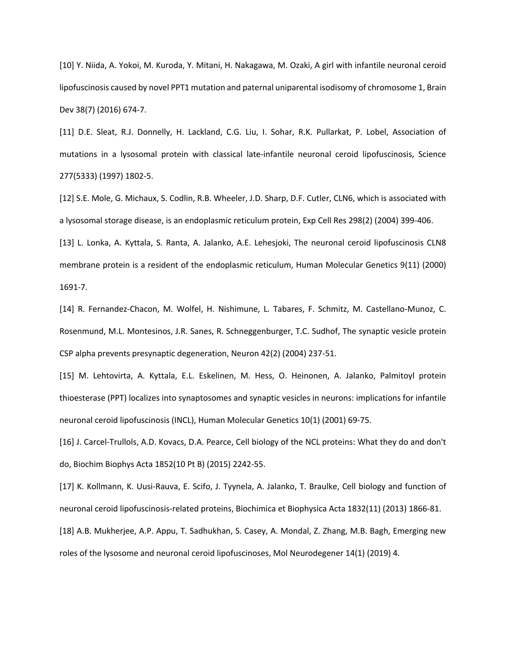[10] Y. Niida, A. Yokoi, M. Kuroda, Y. Mitani, H. Nakagawa, M. Ozaki, A girl with infantile neuronal ceroid lipofuscinosis caused by novel PPT1 mutation and paternal uniparental isodisomy of chromosome 1, Brain Dev 38(7) (2016) 674-7.

[11] D.E. Sleat, R.J. Donnelly, H. Lackland, C.G. Liu, I. Sohar, R.K. Pullarkat, P. Lobel, Association of mutations in a lysosomal protein with classical late-infantile neuronal ceroid lipofuscinosis, Science 277(5333) (1997) 1802-5.

[12] S.E. Mole, G. Michaux, S. Codlin, R.B. Wheeler, J.D. Sharp, D.F. Cutler, CLN6, which is associated with a lysosomal storage disease, is an endoplasmic reticulum protein, Exp Cell Res 298(2) (2004) 399-406.

[13] L. Lonka, A. Kyttala, S. Ranta, A. Jalanko, A.E. Lehesjoki, The neuronal ceroid lipofuscinosis CLN8 membrane protein is a resident of the endoplasmic reticulum, Human Molecular Genetics 9(11) (2000) 1691-7.

[14] R. Fernandez-Chacon, M. Wolfel, H. Nishimune, L. Tabares, F. Schmitz, M. Castellano-Munoz, C. Rosenmund, M.L. Montesinos, J.R. Sanes, R. Schneggenburger, T.C. Sudhof, The synaptic vesicle protein CSP alpha prevents presynaptic degeneration, Neuron 42(2) (2004) 237-51.

[15] M. Lehtovirta, A. Kyttala, E.L. Eskelinen, M. Hess, O. Heinonen, A. Jalanko, Palmitoyl protein thioesterase (PPT) localizes into synaptosomes and synaptic vesicles in neurons: implications for infantile neuronal ceroid lipofuscinosis (INCL), Human Molecular Genetics 10(1) (2001) 69-75.

[16] J. Carcel-Trullols, A.D. Kovacs, D.A. Pearce, Cell biology of the NCL proteins: What they do and don't do, Biochim Biophys Acta 1852(10 Pt B) (2015) 2242-55.

[17] K. Kollmann, K. Uusi-Rauva, E. Scifo, J. Tyynela, A. Jalanko, T. Braulke, Cell biology and function of neuronal ceroid lipofuscinosis-related proteins, Biochimica et Biophysica Acta 1832(11) (2013) 1866-81.

[18] A.B. Mukherjee, A.P. Appu, T. Sadhukhan, S. Casey, A. Mondal, Z. Zhang, M.B. Bagh, Emerging new roles of the lysosome and neuronal ceroid lipofuscinoses, Mol Neurodegener 14(1) (2019) 4.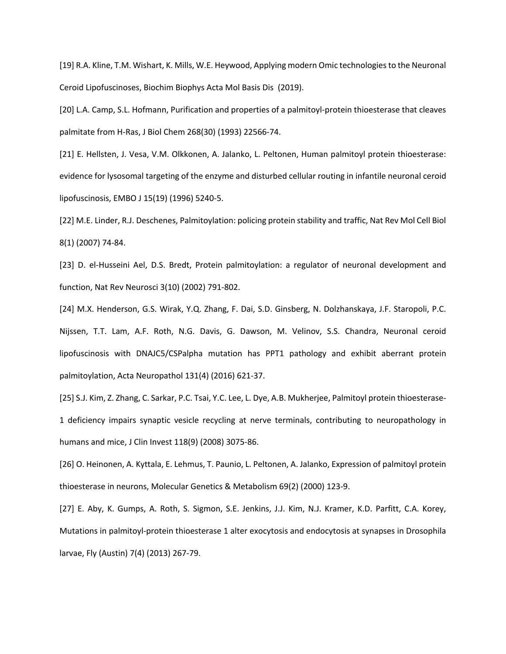[19] R.A. Kline, T.M. Wishart, K. Mills, W.E. Heywood, Applying modern Omic technologies to the Neuronal Ceroid Lipofuscinoses, Biochim Biophys Acta Mol Basis Dis (2019).

[20] L.A. Camp, S.L. Hofmann, Purification and properties of a palmitoyl-protein thioesterase that cleaves palmitate from H-Ras, J Biol Chem 268(30) (1993) 22566-74.

[21] E. Hellsten, J. Vesa, V.M. Olkkonen, A. Jalanko, L. Peltonen, Human palmitoyl protein thioesterase: evidence for lysosomal targeting of the enzyme and disturbed cellular routing in infantile neuronal ceroid lipofuscinosis, EMBO J 15(19) (1996) 5240-5.

[22] M.E. Linder, R.J. Deschenes, Palmitoylation: policing protein stability and traffic, Nat Rev Mol Cell Biol 8(1) (2007) 74-84.

[23] D. el-Husseini Ael, D.S. Bredt, Protein palmitoylation: a regulator of neuronal development and function, Nat Rev Neurosci 3(10) (2002) 791-802.

[24] M.X. Henderson, G.S. Wirak, Y.Q. Zhang, F. Dai, S.D. Ginsberg, N. Dolzhanskaya, J.F. Staropoli, P.C. Nijssen, T.T. Lam, A.F. Roth, N.G. Davis, G. Dawson, M. Velinov, S.S. Chandra, Neuronal ceroid lipofuscinosis with DNAJC5/CSPalpha mutation has PPT1 pathology and exhibit aberrant protein palmitoylation, Acta Neuropathol 131(4) (2016) 621-37.

[25] S.J. Kim, Z. Zhang, C. Sarkar, P.C. Tsai, Y.C. Lee, L. Dye, A.B. Mukherjee, Palmitoyl protein thioesterase-1 deficiency impairs synaptic vesicle recycling at nerve terminals, contributing to neuropathology in humans and mice, J Clin Invest 118(9) (2008) 3075-86.

[26] O. Heinonen, A. Kyttala, E. Lehmus, T. Paunio, L. Peltonen, A. Jalanko, Expression of palmitoyl protein thioesterase in neurons, Molecular Genetics & Metabolism 69(2) (2000) 123-9.

[27] E. Aby, K. Gumps, A. Roth, S. Sigmon, S.E. Jenkins, J.J. Kim, N.J. Kramer, K.D. Parfitt, C.A. Korey, Mutations in palmitoyl-protein thioesterase 1 alter exocytosis and endocytosis at synapses in Drosophila larvae, Fly (Austin) 7(4) (2013) 267-79.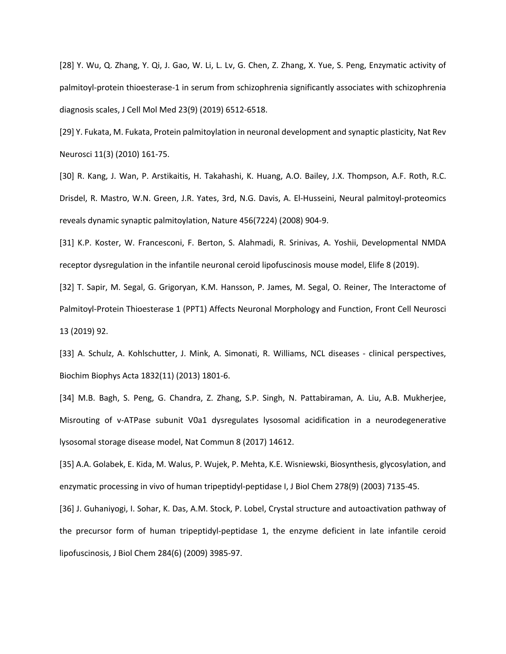[28] Y. Wu, Q. Zhang, Y. Qi, J. Gao, W. Li, L. Lv, G. Chen, Z. Zhang, X. Yue, S. Peng, Enzymatic activity of palmitoyl-protein thioesterase-1 in serum from schizophrenia significantly associates with schizophrenia diagnosis scales, J Cell Mol Med 23(9) (2019) 6512-6518.

[29] Y. Fukata, M. Fukata, Protein palmitoylation in neuronal development and synaptic plasticity, Nat Rev Neurosci 11(3) (2010) 161-75.

[30] R. Kang, J. Wan, P. Arstikaitis, H. Takahashi, K. Huang, A.O. Bailey, J.X. Thompson, A.F. Roth, R.C. Drisdel, R. Mastro, W.N. Green, J.R. Yates, 3rd, N.G. Davis, A. El-Husseini, Neural palmitoyl-proteomics reveals dynamic synaptic palmitoylation, Nature 456(7224) (2008) 904-9.

[31] K.P. Koster, W. Francesconi, F. Berton, S. Alahmadi, R. Srinivas, A. Yoshii, Developmental NMDA receptor dysregulation in the infantile neuronal ceroid lipofuscinosis mouse model, Elife 8 (2019).

[32] T. Sapir, M. Segal, G. Grigoryan, K.M. Hansson, P. James, M. Segal, O. Reiner, The Interactome of Palmitoyl-Protein Thioesterase 1 (PPT1) Affects Neuronal Morphology and Function, Front Cell Neurosci 13 (2019) 92.

[33] A. Schulz, A. Kohlschutter, J. Mink, A. Simonati, R. Williams, NCL diseases - clinical perspectives, Biochim Biophys Acta 1832(11) (2013) 1801-6.

[34] M.B. Bagh, S. Peng, G. Chandra, Z. Zhang, S.P. Singh, N. Pattabiraman, A. Liu, A.B. Mukherjee, Misrouting of v-ATPase subunit V0a1 dysregulates lysosomal acidification in a neurodegenerative lysosomal storage disease model, Nat Commun 8 (2017) 14612.

[35] A.A. Golabek, E. Kida, M. Walus, P. Wujek, P. Mehta, K.E. Wisniewski, Biosynthesis, glycosylation, and enzymatic processing in vivo of human tripeptidyl-peptidase I, J Biol Chem 278(9) (2003) 7135-45.

[36] J. Guhaniyogi, I. Sohar, K. Das, A.M. Stock, P. Lobel, Crystal structure and autoactivation pathway of the precursor form of human tripeptidyl-peptidase 1, the enzyme deficient in late infantile ceroid lipofuscinosis, J Biol Chem 284(6) (2009) 3985-97.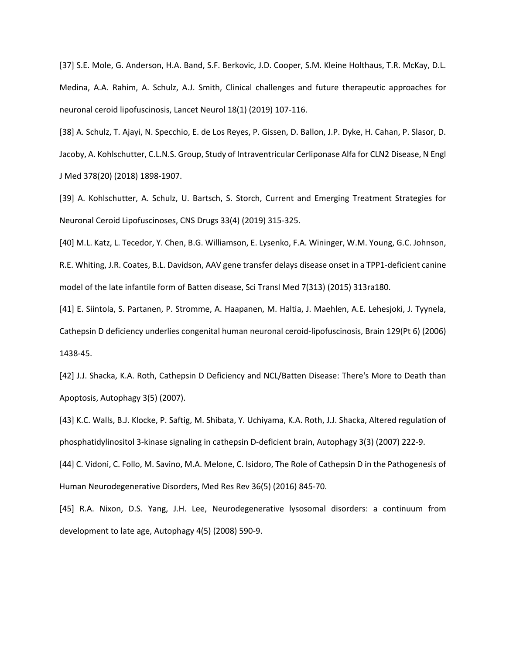[37] S.E. Mole, G. Anderson, H.A. Band, S.F. Berkovic, J.D. Cooper, S.M. Kleine Holthaus, T.R. McKay, D.L. Medina, A.A. Rahim, A. Schulz, A.J. Smith, Clinical challenges and future therapeutic approaches for neuronal ceroid lipofuscinosis, Lancet Neurol 18(1) (2019) 107-116.

[38] A. Schulz, T. Ajayi, N. Specchio, E. de Los Reyes, P. Gissen, D. Ballon, J.P. Dyke, H. Cahan, P. Slasor, D. Jacoby, A. Kohlschutter, C.L.N.S. Group, Study of Intraventricular Cerliponase Alfa for CLN2 Disease, N Engl J Med 378(20) (2018) 1898-1907.

[39] A. Kohlschutter, A. Schulz, U. Bartsch, S. Storch, Current and Emerging Treatment Strategies for Neuronal Ceroid Lipofuscinoses, CNS Drugs 33(4) (2019) 315-325.

[40] M.L. Katz, L. Tecedor, Y. Chen, B.G. Williamson, E. Lysenko, F.A. Wininger, W.M. Young, G.C. Johnson, R.E. Whiting, J.R. Coates, B.L. Davidson, AAV gene transfer delays disease onset in a TPP1-deficient canine model of the late infantile form of Batten disease, Sci Transl Med 7(313) (2015) 313ra180.

[41] E. Siintola, S. Partanen, P. Stromme, A. Haapanen, M. Haltia, J. Maehlen, A.E. Lehesjoki, J. Tyynela, Cathepsin D deficiency underlies congenital human neuronal ceroid-lipofuscinosis, Brain 129(Pt 6) (2006) 1438-45.

[42] J.J. Shacka, K.A. Roth, Cathepsin D Deficiency and NCL/Batten Disease: There's More to Death than Apoptosis, Autophagy 3(5) (2007).

[43] K.C. Walls, B.J. Klocke, P. Saftig, M. Shibata, Y. Uchiyama, K.A. Roth, J.J. Shacka, Altered regulation of phosphatidylinositol 3-kinase signaling in cathepsin D-deficient brain, Autophagy 3(3) (2007) 222-9.

[44] C. Vidoni, C. Follo, M. Savino, M.A. Melone, C. Isidoro, The Role of Cathepsin D in the Pathogenesis of Human Neurodegenerative Disorders, Med Res Rev 36(5) (2016) 845-70.

[45] R.A. Nixon, D.S. Yang, J.H. Lee, Neurodegenerative lysosomal disorders: a continuum from development to late age, Autophagy 4(5) (2008) 590-9.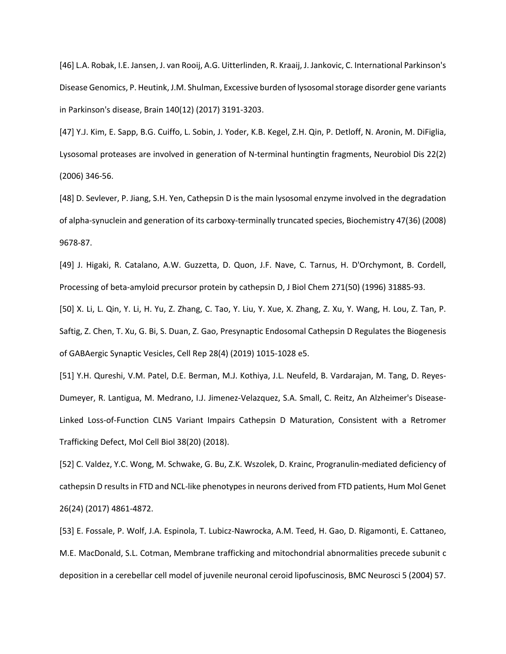[46] L.A. Robak, I.E. Jansen, J. van Rooij, A.G. Uitterlinden, R. Kraaij, J. Jankovic, C. International Parkinson's Disease Genomics, P. Heutink, J.M. Shulman, Excessive burden of lysosomal storage disorder gene variants in Parkinson's disease, Brain 140(12) (2017) 3191-3203.

[47] Y.J. Kim, E. Sapp, B.G. Cuiffo, L. Sobin, J. Yoder, K.B. Kegel, Z.H. Qin, P. Detloff, N. Aronin, M. DiFiglia, Lysosomal proteases are involved in generation of N-terminal huntingtin fragments, Neurobiol Dis 22(2) (2006) 346-56.

[48] D. Sevlever, P. Jiang, S.H. Yen, Cathepsin D is the main lysosomal enzyme involved in the degradation of alpha-synuclein and generation of its carboxy-terminally truncated species, Biochemistry 47(36) (2008) 9678-87.

[49] J. Higaki, R. Catalano, A.W. Guzzetta, D. Quon, J.F. Nave, C. Tarnus, H. D'Orchymont, B. Cordell, Processing of beta-amyloid precursor protein by cathepsin D, J Biol Chem 271(50) (1996) 31885-93.

[50] X. Li, L. Qin, Y. Li, H. Yu, Z. Zhang, C. Tao, Y. Liu, Y. Xue, X. Zhang, Z. Xu, Y. Wang, H. Lou, Z. Tan, P. Saftig, Z. Chen, T. Xu, G. Bi, S. Duan, Z. Gao, Presynaptic Endosomal Cathepsin D Regulates the Biogenesis of GABAergic Synaptic Vesicles, Cell Rep 28(4) (2019) 1015-1028 e5.

[51] Y.H. Qureshi, V.M. Patel, D.E. Berman, M.J. Kothiya, J.L. Neufeld, B. Vardarajan, M. Tang, D. Reyes-Dumeyer, R. Lantigua, M. Medrano, I.J. Jimenez-Velazquez, S.A. Small, C. Reitz, An Alzheimer's Disease-Linked Loss-of-Function CLN5 Variant Impairs Cathepsin D Maturation, Consistent with a Retromer Trafficking Defect, Mol Cell Biol 38(20) (2018).

[52] C. Valdez, Y.C. Wong, M. Schwake, G. Bu, Z.K. Wszolek, D. Krainc, Progranulin-mediated deficiency of cathepsin D results in FTD and NCL-like phenotypes in neurons derived from FTD patients, Hum Mol Genet 26(24) (2017) 4861-4872.

[53] E. Fossale, P. Wolf, J.A. Espinola, T. Lubicz-Nawrocka, A.M. Teed, H. Gao, D. Rigamonti, E. Cattaneo, M.E. MacDonald, S.L. Cotman, Membrane trafficking and mitochondrial abnormalities precede subunit c deposition in a cerebellar cell model of juvenile neuronal ceroid lipofuscinosis, BMC Neurosci 5 (2004) 57.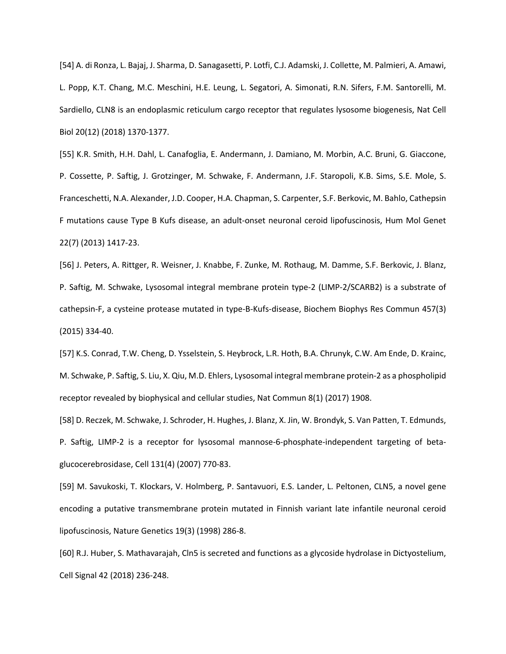[54] A. di Ronza, L. Bajaj, J. Sharma, D. Sanagasetti, P. Lotfi, C.J. Adamski, J. Collette, M. Palmieri, A. Amawi, L. Popp, K.T. Chang, M.C. Meschini, H.E. Leung, L. Segatori, A. Simonati, R.N. Sifers, F.M. Santorelli, M. Sardiello, CLN8 is an endoplasmic reticulum cargo receptor that regulates lysosome biogenesis, Nat Cell Biol 20(12) (2018) 1370-1377.

[55] K.R. Smith, H.H. Dahl, L. Canafoglia, E. Andermann, J. Damiano, M. Morbin, A.C. Bruni, G. Giaccone, P. Cossette, P. Saftig, J. Grotzinger, M. Schwake, F. Andermann, J.F. Staropoli, K.B. Sims, S.E. Mole, S. Franceschetti, N.A. Alexander, J.D. Cooper, H.A. Chapman, S. Carpenter, S.F. Berkovic, M. Bahlo, Cathepsin F mutations cause Type B Kufs disease, an adult-onset neuronal ceroid lipofuscinosis, Hum Mol Genet 22(7) (2013) 1417-23.

[56] J. Peters, A. Rittger, R. Weisner, J. Knabbe, F. Zunke, M. Rothaug, M. Damme, S.F. Berkovic, J. Blanz, P. Saftig, M. Schwake, Lysosomal integral membrane protein type-2 (LIMP-2/SCARB2) is a substrate of cathepsin-F, a cysteine protease mutated in type-B-Kufs-disease, Biochem Biophys Res Commun 457(3) (2015) 334-40.

[57] K.S. Conrad, T.W. Cheng, D. Ysselstein, S. Heybrock, L.R. Hoth, B.A. Chrunyk, C.W. Am Ende, D. Krainc, M. Schwake, P. Saftig, S. Liu, X. Qiu, M.D. Ehlers, Lysosomal integral membrane protein-2 as a phospholipid receptor revealed by biophysical and cellular studies, Nat Commun 8(1) (2017) 1908.

[58] D. Reczek, M. Schwake, J. Schroder, H. Hughes, J. Blanz, X. Jin, W. Brondyk, S. Van Patten, T. Edmunds, P. Saftig, LIMP-2 is a receptor for lysosomal mannose-6-phosphate-independent targeting of betaglucocerebrosidase, Cell 131(4) (2007) 770-83.

[59] M. Savukoski, T. Klockars, V. Holmberg, P. Santavuori, E.S. Lander, L. Peltonen, CLN5, a novel gene encoding a putative transmembrane protein mutated in Finnish variant late infantile neuronal ceroid lipofuscinosis, Nature Genetics 19(3) (1998) 286-8.

[60] R.J. Huber, S. Mathavarajah, Cln5 is secreted and functions as a glycoside hydrolase in Dictyostelium, Cell Signal 42 (2018) 236-248.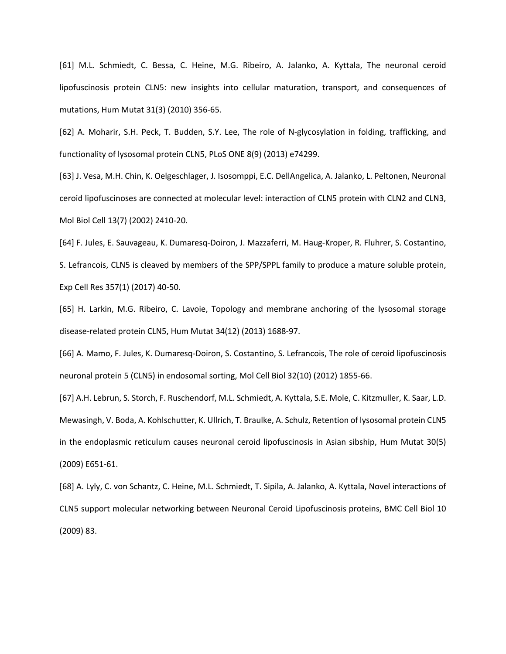[61] M.L. Schmiedt, C. Bessa, C. Heine, M.G. Ribeiro, A. Jalanko, A. Kyttala, The neuronal ceroid lipofuscinosis protein CLN5: new insights into cellular maturation, transport, and consequences of mutations, Hum Mutat 31(3) (2010) 356-65.

[62] A. Moharir, S.H. Peck, T. Budden, S.Y. Lee, The role of N-glycosylation in folding, trafficking, and functionality of lysosomal protein CLN5, PLoS ONE 8(9) (2013) e74299.

[63] J. Vesa, M.H. Chin, K. Oelgeschlager, J. Isosomppi, E.C. DellAngelica, A. Jalanko, L. Peltonen, Neuronal ceroid lipofuscinoses are connected at molecular level: interaction of CLN5 protein with CLN2 and CLN3, Mol Biol Cell 13(7) (2002) 2410-20.

[64] F. Jules, E. Sauvageau, K. Dumaresq-Doiron, J. Mazzaferri, M. Haug-Kroper, R. Fluhrer, S. Costantino, S. Lefrancois, CLN5 is cleaved by members of the SPP/SPPL family to produce a mature soluble protein, Exp Cell Res 357(1) (2017) 40-50.

[65] H. Larkin, M.G. Ribeiro, C. Lavoie, Topology and membrane anchoring of the lysosomal storage disease-related protein CLN5, Hum Mutat 34(12) (2013) 1688-97.

[66] A. Mamo, F. Jules, K. Dumaresq-Doiron, S. Costantino, S. Lefrancois, The role of ceroid lipofuscinosis neuronal protein 5 (CLN5) in endosomal sorting, Mol Cell Biol 32(10) (2012) 1855-66.

[67] A.H. Lebrun, S. Storch, F. Ruschendorf, M.L. Schmiedt, A. Kyttala, S.E. Mole, C. Kitzmuller, K. Saar, L.D. Mewasingh, V. Boda, A. Kohlschutter, K. Ullrich, T. Braulke, A. Schulz, Retention of lysosomal protein CLN5 in the endoplasmic reticulum causes neuronal ceroid lipofuscinosis in Asian sibship, Hum Mutat 30(5) (2009) E651-61.

[68] A. Lyly, C. von Schantz, C. Heine, M.L. Schmiedt, T. Sipila, A. Jalanko, A. Kyttala, Novel interactions of CLN5 support molecular networking between Neuronal Ceroid Lipofuscinosis proteins, BMC Cell Biol 10 (2009) 83.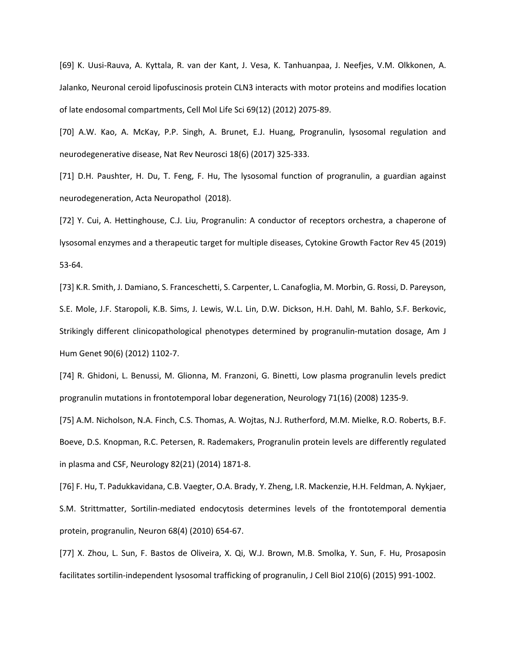[69] K. Uusi-Rauva, A. Kyttala, R. van der Kant, J. Vesa, K. Tanhuanpaa, J. Neefjes, V.M. Olkkonen, A. Jalanko, Neuronal ceroid lipofuscinosis protein CLN3 interacts with motor proteins and modifies location of late endosomal compartments, Cell Mol Life Sci 69(12) (2012) 2075-89.

[70] A.W. Kao, A. McKay, P.P. Singh, A. Brunet, E.J. Huang, Progranulin, lysosomal regulation and neurodegenerative disease, Nat Rev Neurosci 18(6) (2017) 325-333.

[71] D.H. Paushter, H. Du, T. Feng, F. Hu, The lysosomal function of progranulin, a guardian against neurodegeneration, Acta Neuropathol (2018).

[72] Y. Cui, A. Hettinghouse, C.J. Liu, Progranulin: A conductor of receptors orchestra, a chaperone of lysosomal enzymes and a therapeutic target for multiple diseases, Cytokine Growth Factor Rev 45 (2019) 53-64.

[73] K.R. Smith, J. Damiano, S. Franceschetti, S. Carpenter, L. Canafoglia, M. Morbin, G. Rossi, D. Pareyson, S.E. Mole, J.F. Staropoli, K.B. Sims, J. Lewis, W.L. Lin, D.W. Dickson, H.H. Dahl, M. Bahlo, S.F. Berkovic, Strikingly different clinicopathological phenotypes determined by progranulin-mutation dosage, Am J Hum Genet 90(6) (2012) 1102-7.

[74] R. Ghidoni, L. Benussi, M. Glionna, M. Franzoni, G. Binetti, Low plasma progranulin levels predict progranulin mutations in frontotemporal lobar degeneration, Neurology 71(16) (2008) 1235-9.

[75] A.M. Nicholson, N.A. Finch, C.S. Thomas, A. Wojtas, N.J. Rutherford, M.M. Mielke, R.O. Roberts, B.F. Boeve, D.S. Knopman, R.C. Petersen, R. Rademakers, Progranulin protein levels are differently regulated in plasma and CSF, Neurology 82(21) (2014) 1871-8.

[76] F. Hu, T. Padukkavidana, C.B. Vaegter, O.A. Brady, Y. Zheng, I.R. Mackenzie, H.H. Feldman, A. Nykjaer, S.M. Strittmatter, Sortilin-mediated endocytosis determines levels of the frontotemporal dementia protein, progranulin, Neuron 68(4) (2010) 654-67.

[77] X. Zhou, L. Sun, F. Bastos de Oliveira, X. Qi, W.J. Brown, M.B. Smolka, Y. Sun, F. Hu, Prosaposin facilitates sortilin-independent lysosomal trafficking of progranulin, J Cell Biol 210(6) (2015) 991-1002.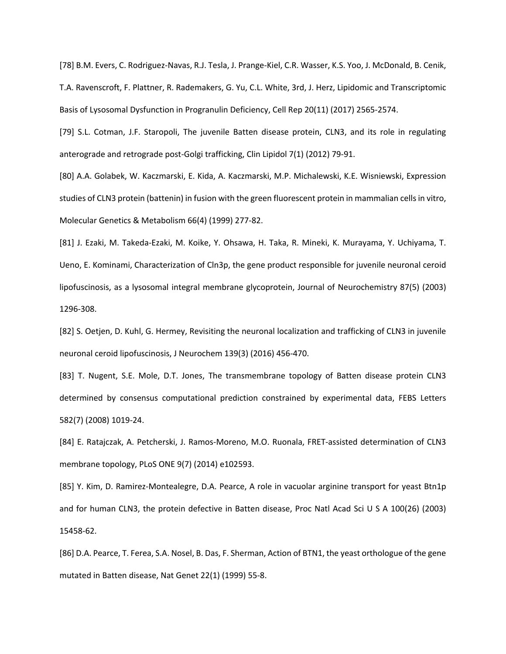[78] B.M. Evers, C. Rodriguez-Navas, R.J. Tesla, J. Prange-Kiel, C.R. Wasser, K.S. Yoo, J. McDonald, B. Cenik, T.A. Ravenscroft, F. Plattner, R. Rademakers, G. Yu, C.L. White, 3rd, J. Herz, Lipidomic and Transcriptomic Basis of Lysosomal Dysfunction in Progranulin Deficiency, Cell Rep 20(11) (2017) 2565-2574.

[79] S.L. Cotman, J.F. Staropoli, The juvenile Batten disease protein, CLN3, and its role in regulating anterograde and retrograde post-Golgi trafficking, Clin Lipidol 7(1) (2012) 79-91.

[80] A.A. Golabek, W. Kaczmarski, E. Kida, A. Kaczmarski, M.P. Michalewski, K.E. Wisniewski, Expression studies of CLN3 protein (battenin) in fusion with the green fluorescent protein in mammalian cells in vitro, Molecular Genetics & Metabolism 66(4) (1999) 277-82.

[81] J. Ezaki, M. Takeda-Ezaki, M. Koike, Y. Ohsawa, H. Taka, R. Mineki, K. Murayama, Y. Uchiyama, T. Ueno, E. Kominami, Characterization of Cln3p, the gene product responsible for juvenile neuronal ceroid lipofuscinosis, as a lysosomal integral membrane glycoprotein, Journal of Neurochemistry 87(5) (2003) 1296-308.

[82] S. Oetjen, D. Kuhl, G. Hermey, Revisiting the neuronal localization and trafficking of CLN3 in juvenile neuronal ceroid lipofuscinosis, J Neurochem 139(3) (2016) 456-470.

[83] T. Nugent, S.E. Mole, D.T. Jones, The transmembrane topology of Batten disease protein CLN3 determined by consensus computational prediction constrained by experimental data, FEBS Letters 582(7) (2008) 1019-24.

[84] E. Ratajczak, A. Petcherski, J. Ramos-Moreno, M.O. Ruonala, FRET-assisted determination of CLN3 membrane topology, PLoS ONE 9(7) (2014) e102593.

[85] Y. Kim, D. Ramirez-Montealegre, D.A. Pearce, A role in vacuolar arginine transport for yeast Btn1p and for human CLN3, the protein defective in Batten disease, Proc Natl Acad Sci U S A 100(26) (2003) 15458-62.

[86] D.A. Pearce, T. Ferea, S.A. Nosel, B. Das, F. Sherman, Action of BTN1, the yeast orthologue of the gene mutated in Batten disease, Nat Genet 22(1) (1999) 55-8.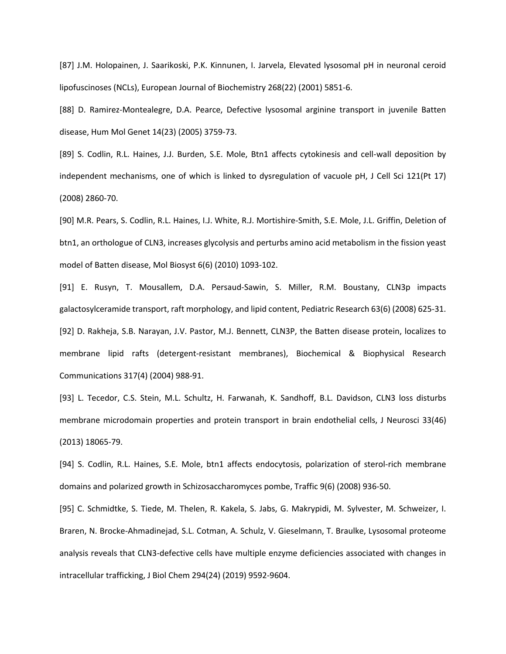[87] J.M. Holopainen, J. Saarikoski, P.K. Kinnunen, I. Jarvela, Elevated lysosomal pH in neuronal ceroid lipofuscinoses (NCLs), European Journal of Biochemistry 268(22) (2001) 5851-6.

[88] D. Ramirez-Montealegre, D.A. Pearce, Defective lysosomal arginine transport in juvenile Batten disease, Hum Mol Genet 14(23) (2005) 3759-73.

[89] S. Codlin, R.L. Haines, J.J. Burden, S.E. Mole, Btn1 affects cytokinesis and cell-wall deposition by independent mechanisms, one of which is linked to dysregulation of vacuole pH, J Cell Sci 121(Pt 17) (2008) 2860-70.

[90] M.R. Pears, S. Codlin, R.L. Haines, I.J. White, R.J. Mortishire-Smith, S.E. Mole, J.L. Griffin, Deletion of btn1, an orthologue of CLN3, increases glycolysis and perturbs amino acid metabolism in the fission yeast model of Batten disease, Mol Biosyst 6(6) (2010) 1093-102.

[91] E. Rusyn, T. Mousallem, D.A. Persaud-Sawin, S. Miller, R.M. Boustany, CLN3p impacts galactosylceramide transport, raft morphology, and lipid content, Pediatric Research 63(6) (2008) 625-31. [92] D. Rakheja, S.B. Narayan, J.V. Pastor, M.J. Bennett, CLN3P, the Batten disease protein, localizes to membrane lipid rafts (detergent-resistant membranes), Biochemical & Biophysical Research Communications 317(4) (2004) 988-91.

[93] L. Tecedor, C.S. Stein, M.L. Schultz, H. Farwanah, K. Sandhoff, B.L. Davidson, CLN3 loss disturbs membrane microdomain properties and protein transport in brain endothelial cells, J Neurosci 33(46) (2013) 18065-79.

[94] S. Codlin, R.L. Haines, S.E. Mole, btn1 affects endocytosis, polarization of sterol-rich membrane domains and polarized growth in Schizosaccharomyces pombe, Traffic 9(6) (2008) 936-50.

[95] C. Schmidtke, S. Tiede, M. Thelen, R. Kakela, S. Jabs, G. Makrypidi, M. Sylvester, M. Schweizer, I. Braren, N. Brocke-Ahmadinejad, S.L. Cotman, A. Schulz, V. Gieselmann, T. Braulke, Lysosomal proteome analysis reveals that CLN3-defective cells have multiple enzyme deficiencies associated with changes in intracellular trafficking, J Biol Chem 294(24) (2019) 9592-9604.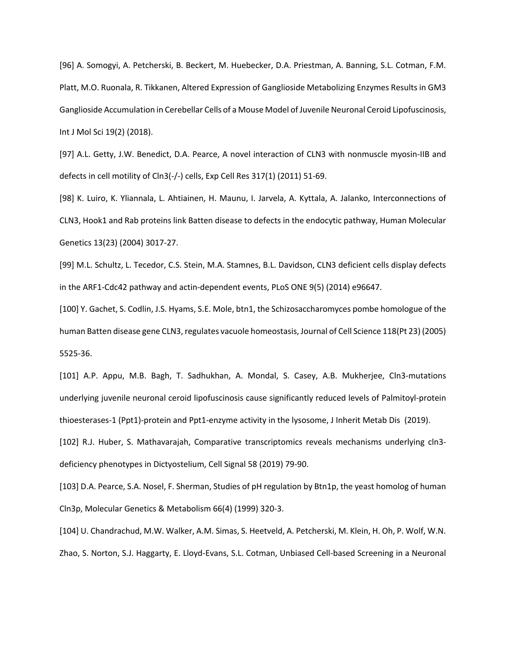[96] A. Somogyi, A. Petcherski, B. Beckert, M. Huebecker, D.A. Priestman, A. Banning, S.L. Cotman, F.M. Platt, M.O. Ruonala, R. Tikkanen, Altered Expression of Ganglioside Metabolizing Enzymes Results in GM3 Ganglioside Accumulation in Cerebellar Cells of a Mouse Model of Juvenile Neuronal Ceroid Lipofuscinosis, Int J Mol Sci 19(2) (2018).

[97] A.L. Getty, J.W. Benedict, D.A. Pearce, A novel interaction of CLN3 with nonmuscle myosin-IIB and defects in cell motility of Cln3(-/-) cells, Exp Cell Res 317(1) (2011) 51-69.

[98] K. Luiro, K. Yliannala, L. Ahtiainen, H. Maunu, I. Jarvela, A. Kyttala, A. Jalanko, Interconnections of CLN3, Hook1 and Rab proteins link Batten disease to defects in the endocytic pathway, Human Molecular Genetics 13(23) (2004) 3017-27.

[99] M.L. Schultz, L. Tecedor, C.S. Stein, M.A. Stamnes, B.L. Davidson, CLN3 deficient cells display defects in the ARF1-Cdc42 pathway and actin-dependent events, PLoS ONE 9(5) (2014) e96647.

[100] Y. Gachet, S. Codlin, J.S. Hyams, S.E. Mole, btn1, the Schizosaccharomyces pombe homologue of the human Batten disease gene CLN3, regulates vacuole homeostasis, Journal of Cell Science 118(Pt 23) (2005) 5525-36.

[101] A.P. Appu, M.B. Bagh, T. Sadhukhan, A. Mondal, S. Casey, A.B. Mukherjee, Cln3-mutations underlying juvenile neuronal ceroid lipofuscinosis cause significantly reduced levels of Palmitoyl-protein thioesterases-1 (Ppt1)-protein and Ppt1-enzyme activity in the lysosome, J Inherit Metab Dis (2019).

[102] R.J. Huber, S. Mathavarajah, Comparative transcriptomics reveals mechanisms underlying cln3 deficiency phenotypes in Dictyostelium, Cell Signal 58 (2019) 79-90.

[103] D.A. Pearce, S.A. Nosel, F. Sherman, Studies of pH regulation by Btn1p, the yeast homolog of human Cln3p, Molecular Genetics & Metabolism 66(4) (1999) 320-3.

[104] U. Chandrachud, M.W. Walker, A.M. Simas, S. Heetveld, A. Petcherski, M. Klein, H. Oh, P. Wolf, W.N. Zhao, S. Norton, S.J. Haggarty, E. Lloyd-Evans, S.L. Cotman, Unbiased Cell-based Screening in a Neuronal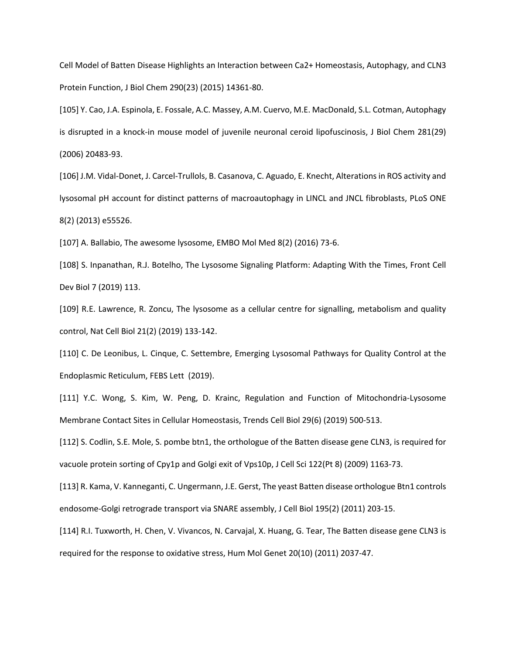Cell Model of Batten Disease Highlights an Interaction between Ca2+ Homeostasis, Autophagy, and CLN3 Protein Function, J Biol Chem 290(23) (2015) 14361-80.

[105] Y. Cao, J.A. Espinola, E. Fossale, A.C. Massey, A.M. Cuervo, M.E. MacDonald, S.L. Cotman, Autophagy is disrupted in a knock-in mouse model of juvenile neuronal ceroid lipofuscinosis, J Biol Chem 281(29) (2006) 20483-93.

[106] J.M. Vidal-Donet, J. Carcel-Trullols, B. Casanova, C. Aguado, E. Knecht, Alterations in ROS activity and lysosomal pH account for distinct patterns of macroautophagy in LINCL and JNCL fibroblasts, PLoS ONE 8(2) (2013) e55526.

[107] A. Ballabio, The awesome lysosome, EMBO Mol Med 8(2) (2016) 73-6.

[108] S. Inpanathan, R.J. Botelho, The Lysosome Signaling Platform: Adapting With the Times, Front Cell Dev Biol 7 (2019) 113.

[109] R.E. Lawrence, R. Zoncu, The lysosome as a cellular centre for signalling, metabolism and quality control, Nat Cell Biol 21(2) (2019) 133-142.

[110] C. De Leonibus, L. Cinque, C. Settembre, Emerging Lysosomal Pathways for Quality Control at the Endoplasmic Reticulum, FEBS Lett (2019).

[111] Y.C. Wong, S. Kim, W. Peng, D. Krainc, Regulation and Function of Mitochondria-Lysosome Membrane Contact Sites in Cellular Homeostasis, Trends Cell Biol 29(6) (2019) 500-513.

[112] S. Codlin, S.E. Mole, S. pombe btn1, the orthologue of the Batten disease gene CLN3, is required for vacuole protein sorting of Cpy1p and Golgi exit of Vps10p, J Cell Sci 122(Pt 8) (2009) 1163-73.

[113] R. Kama, V. Kanneganti, C. Ungermann, J.E. Gerst, The yeast Batten disease orthologue Btn1 controls endosome-Golgi retrograde transport via SNARE assembly, J Cell Biol 195(2) (2011) 203-15.

[114] R.I. Tuxworth, H. Chen, V. Vivancos, N. Carvajal, X. Huang, G. Tear, The Batten disease gene CLN3 is required for the response to oxidative stress, Hum Mol Genet 20(10) (2011) 2037-47.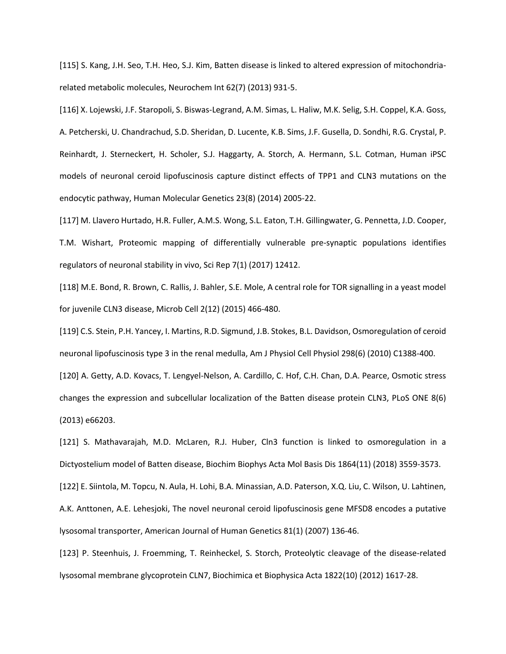[115] S. Kang, J.H. Seo, T.H. Heo, S.J. Kim, Batten disease is linked to altered expression of mitochondriarelated metabolic molecules, Neurochem Int 62(7) (2013) 931-5.

[116] X. Lojewski, J.F. Staropoli, S. Biswas-Legrand, A.M. Simas, L. Haliw, M.K. Selig, S.H. Coppel, K.A. Goss, A. Petcherski, U. Chandrachud, S.D. Sheridan, D. Lucente, K.B. Sims, J.F. Gusella, D. Sondhi, R.G. Crystal, P. Reinhardt, J. Sterneckert, H. Scholer, S.J. Haggarty, A. Storch, A. Hermann, S.L. Cotman, Human iPSC models of neuronal ceroid lipofuscinosis capture distinct effects of TPP1 and CLN3 mutations on the endocytic pathway, Human Molecular Genetics 23(8) (2014) 2005-22.

[117] M. Llavero Hurtado, H.R. Fuller, A.M.S. Wong, S.L. Eaton, T.H. Gillingwater, G. Pennetta, J.D. Cooper, T.M. Wishart, Proteomic mapping of differentially vulnerable pre-synaptic populations identifies regulators of neuronal stability in vivo, Sci Rep 7(1) (2017) 12412.

[118] M.E. Bond, R. Brown, C. Rallis, J. Bahler, S.E. Mole, A central role for TOR signalling in a yeast model for juvenile CLN3 disease, Microb Cell 2(12) (2015) 466-480.

[119] C.S. Stein, P.H. Yancey, I. Martins, R.D. Sigmund, J.B. Stokes, B.L. Davidson, Osmoregulation of ceroid neuronal lipofuscinosis type 3 in the renal medulla, Am J Physiol Cell Physiol 298(6) (2010) C1388-400.

[120] A. Getty, A.D. Kovacs, T. Lengyel-Nelson, A. Cardillo, C. Hof, C.H. Chan, D.A. Pearce, Osmotic stress changes the expression and subcellular localization of the Batten disease protein CLN3, PLoS ONE 8(6) (2013) e66203.

[121] S. Mathavarajah, M.D. McLaren, R.J. Huber, Cln3 function is linked to osmoregulation in a Dictyostelium model of Batten disease, Biochim Biophys Acta Mol Basis Dis 1864(11) (2018) 3559-3573.

[122] E. Siintola, M. Topcu, N. Aula, H. Lohi, B.A. Minassian, A.D. Paterson, X.Q. Liu, C. Wilson, U. Lahtinen, A.K. Anttonen, A.E. Lehesjoki, The novel neuronal ceroid lipofuscinosis gene MFSD8 encodes a putative lysosomal transporter, American Journal of Human Genetics 81(1) (2007) 136-46.

[123] P. Steenhuis, J. Froemming, T. Reinheckel, S. Storch, Proteolytic cleavage of the disease-related lysosomal membrane glycoprotein CLN7, Biochimica et Biophysica Acta 1822(10) (2012) 1617-28.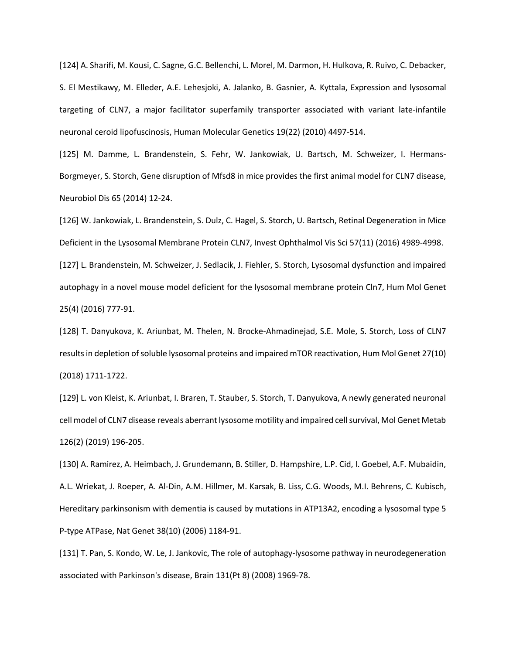[124] A. Sharifi, M. Kousi, C. Sagne, G.C. Bellenchi, L. Morel, M. Darmon, H. Hulkova, R. Ruivo, C. Debacker, S. El Mestikawy, M. Elleder, A.E. Lehesjoki, A. Jalanko, B. Gasnier, A. Kyttala, Expression and lysosomal targeting of CLN7, a major facilitator superfamily transporter associated with variant late-infantile neuronal ceroid lipofuscinosis, Human Molecular Genetics 19(22) (2010) 4497-514.

[125] M. Damme, L. Brandenstein, S. Fehr, W. Jankowiak, U. Bartsch, M. Schweizer, I. Hermans-Borgmeyer, S. Storch, Gene disruption of Mfsd8 in mice provides the first animal model for CLN7 disease, Neurobiol Dis 65 (2014) 12-24.

[126] W. Jankowiak, L. Brandenstein, S. Dulz, C. Hagel, S. Storch, U. Bartsch, Retinal Degeneration in Mice Deficient in the Lysosomal Membrane Protein CLN7, Invest Ophthalmol Vis Sci 57(11) (2016) 4989-4998. [127] L. Brandenstein, M. Schweizer, J. Sedlacik, J. Fiehler, S. Storch, Lysosomal dysfunction and impaired autophagy in a novel mouse model deficient for the lysosomal membrane protein Cln7, Hum Mol Genet 25(4) (2016) 777-91.

[128] T. Danyukova, K. Ariunbat, M. Thelen, N. Brocke-Ahmadinejad, S.E. Mole, S. Storch, Loss of CLN7 results in depletion of soluble lysosomal proteins and impaired mTOR reactivation, Hum Mol Genet 27(10) (2018) 1711-1722.

[129] L. von Kleist, K. Ariunbat, I. Braren, T. Stauber, S. Storch, T. Danyukova, A newly generated neuronal cell model of CLN7 disease reveals aberrant lysosome motility and impaired cell survival, Mol Genet Metab 126(2) (2019) 196-205.

[130] A. Ramirez, A. Heimbach, J. Grundemann, B. Stiller, D. Hampshire, L.P. Cid, I. Goebel, A.F. Mubaidin, A.L. Wriekat, J. Roeper, A. Al-Din, A.M. Hillmer, M. Karsak, B. Liss, C.G. Woods, M.I. Behrens, C. Kubisch, Hereditary parkinsonism with dementia is caused by mutations in ATP13A2, encoding a lysosomal type 5 P-type ATPase, Nat Genet 38(10) (2006) 1184-91.

[131] T. Pan, S. Kondo, W. Le, J. Jankovic, The role of autophagy-lysosome pathway in neurodegeneration associated with Parkinson's disease, Brain 131(Pt 8) (2008) 1969-78.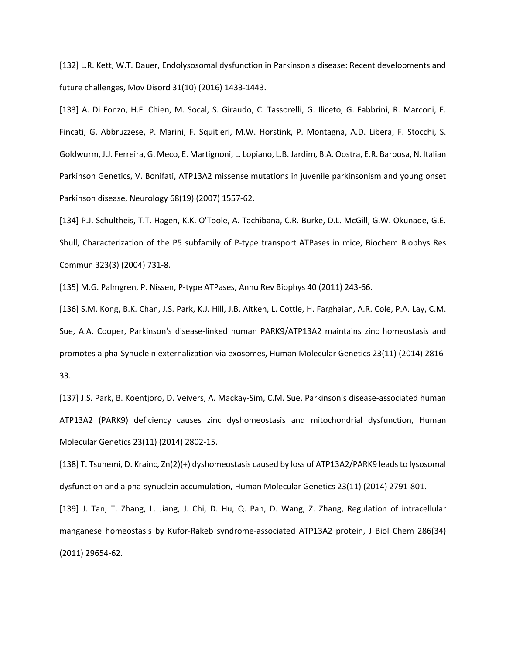[132] L.R. Kett, W.T. Dauer, Endolysosomal dysfunction in Parkinson's disease: Recent developments and future challenges, Mov Disord 31(10) (2016) 1433-1443.

[133] A. Di Fonzo, H.F. Chien, M. Socal, S. Giraudo, C. Tassorelli, G. Iliceto, G. Fabbrini, R. Marconi, E. Fincati, G. Abbruzzese, P. Marini, F. Squitieri, M.W. Horstink, P. Montagna, A.D. Libera, F. Stocchi, S. Goldwurm, J.J. Ferreira, G. Meco, E. Martignoni, L. Lopiano, L.B. Jardim, B.A. Oostra, E.R. Barbosa, N. Italian Parkinson Genetics, V. Bonifati, ATP13A2 missense mutations in juvenile parkinsonism and young onset Parkinson disease, Neurology 68(19) (2007) 1557-62.

[134] P.J. Schultheis, T.T. Hagen, K.K. O'Toole, A. Tachibana, C.R. Burke, D.L. McGill, G.W. Okunade, G.E. Shull, Characterization of the P5 subfamily of P-type transport ATPases in mice, Biochem Biophys Res Commun 323(3) (2004) 731-8.

[135] M.G. Palmgren, P. Nissen, P-type ATPases, Annu Rev Biophys 40 (2011) 243-66.

[136] S.M. Kong, B.K. Chan, J.S. Park, K.J. Hill, J.B. Aitken, L. Cottle, H. Farghaian, A.R. Cole, P.A. Lay, C.M. Sue, A.A. Cooper, Parkinson's disease-linked human PARK9/ATP13A2 maintains zinc homeostasis and promotes alpha-Synuclein externalization via exosomes, Human Molecular Genetics 23(11) (2014) 2816- 33.

[137] J.S. Park, B. Koentjoro, D. Veivers, A. Mackay-Sim, C.M. Sue, Parkinson's disease-associated human ATP13A2 (PARK9) deficiency causes zinc dyshomeostasis and mitochondrial dysfunction, Human Molecular Genetics 23(11) (2014) 2802-15.

[138] T. Tsunemi, D. Krainc, Zn(2)(+) dyshomeostasis caused by loss of ATP13A2/PARK9 leads to lysosomal dysfunction and alpha-synuclein accumulation, Human Molecular Genetics 23(11) (2014) 2791-801.

[139] J. Tan, T. Zhang, L. Jiang, J. Chi, D. Hu, Q. Pan, D. Wang, Z. Zhang, Regulation of intracellular manganese homeostasis by Kufor-Rakeb syndrome-associated ATP13A2 protein, J Biol Chem 286(34) (2011) 29654-62.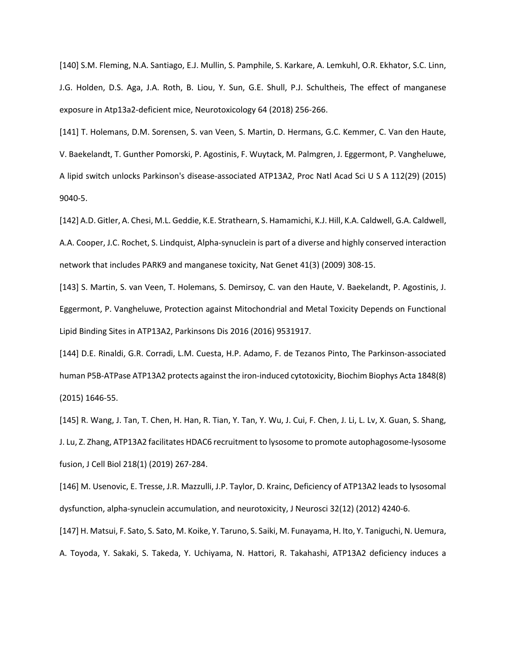[140] S.M. Fleming, N.A. Santiago, E.J. Mullin, S. Pamphile, S. Karkare, A. Lemkuhl, O.R. Ekhator, S.C. Linn, J.G. Holden, D.S. Aga, J.A. Roth, B. Liou, Y. Sun, G.E. Shull, P.J. Schultheis, The effect of manganese exposure in Atp13a2-deficient mice, Neurotoxicology 64 (2018) 256-266.

[141] T. Holemans, D.M. Sorensen, S. van Veen, S. Martin, D. Hermans, G.C. Kemmer, C. Van den Haute, V. Baekelandt, T. Gunther Pomorski, P. Agostinis, F. Wuytack, M. Palmgren, J. Eggermont, P. Vangheluwe, A lipid switch unlocks Parkinson's disease-associated ATP13A2, Proc Natl Acad Sci U S A 112(29) (2015) 9040-5.

[142] A.D. Gitler, A. Chesi, M.L. Geddie, K.E. Strathearn, S. Hamamichi, K.J. Hill, K.A. Caldwell, G.A. Caldwell, A.A. Cooper, J.C. Rochet, S. Lindquist, Alpha-synuclein is part of a diverse and highly conserved interaction network that includes PARK9 and manganese toxicity, Nat Genet 41(3) (2009) 308-15.

[143] S. Martin, S. van Veen, T. Holemans, S. Demirsoy, C. van den Haute, V. Baekelandt, P. Agostinis, J. Eggermont, P. Vangheluwe, Protection against Mitochondrial and Metal Toxicity Depends on Functional Lipid Binding Sites in ATP13A2, Parkinsons Dis 2016 (2016) 9531917.

[144] D.E. Rinaldi, G.R. Corradi, L.M. Cuesta, H.P. Adamo, F. de Tezanos Pinto, The Parkinson-associated human P5B-ATPase ATP13A2 protects against the iron-induced cytotoxicity, Biochim Biophys Acta 1848(8) (2015) 1646-55.

[145] R. Wang, J. Tan, T. Chen, H. Han, R. Tian, Y. Tan, Y. Wu, J. Cui, F. Chen, J. Li, L. Lv, X. Guan, S. Shang, J. Lu, Z. Zhang, ATP13A2 facilitates HDAC6 recruitment to lysosome to promote autophagosome-lysosome fusion, J Cell Biol 218(1) (2019) 267-284.

[146] M. Usenovic, E. Tresse, J.R. Mazzulli, J.P. Taylor, D. Krainc, Deficiency of ATP13A2 leads to lysosomal dysfunction, alpha-synuclein accumulation, and neurotoxicity, J Neurosci 32(12) (2012) 4240-6.

[147] H. Matsui, F. Sato, S. Sato, M. Koike, Y. Taruno, S. Saiki, M. Funayama, H. Ito, Y. Taniguchi, N. Uemura, A. Toyoda, Y. Sakaki, S. Takeda, Y. Uchiyama, N. Hattori, R. Takahashi, ATP13A2 deficiency induces a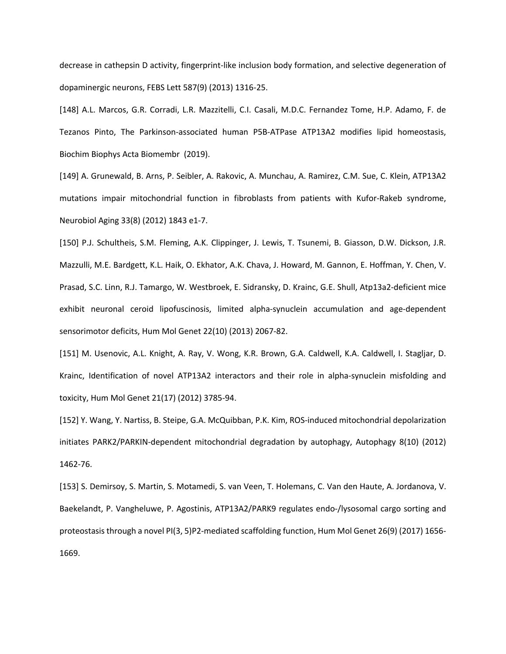decrease in cathepsin D activity, fingerprint-like inclusion body formation, and selective degeneration of dopaminergic neurons, FEBS Lett 587(9) (2013) 1316-25.

[148] A.L. Marcos, G.R. Corradi, L.R. Mazzitelli, C.I. Casali, M.D.C. Fernandez Tome, H.P. Adamo, F. de Tezanos Pinto, The Parkinson-associated human P5B-ATPase ATP13A2 modifies lipid homeostasis, Biochim Biophys Acta Biomembr (2019).

[149] A. Grunewald, B. Arns, P. Seibler, A. Rakovic, A. Munchau, A. Ramirez, C.M. Sue, C. Klein, ATP13A2 mutations impair mitochondrial function in fibroblasts from patients with Kufor-Rakeb syndrome, Neurobiol Aging 33(8) (2012) 1843 e1-7.

[150] P.J. Schultheis, S.M. Fleming, A.K. Clippinger, J. Lewis, T. Tsunemi, B. Giasson, D.W. Dickson, J.R. Mazzulli, M.E. Bardgett, K.L. Haik, O. Ekhator, A.K. Chava, J. Howard, M. Gannon, E. Hoffman, Y. Chen, V. Prasad, S.C. Linn, R.J. Tamargo, W. Westbroek, E. Sidransky, D. Krainc, G.E. Shull, Atp13a2-deficient mice exhibit neuronal ceroid lipofuscinosis, limited alpha-synuclein accumulation and age-dependent sensorimotor deficits, Hum Mol Genet 22(10) (2013) 2067-82.

[151] M. Usenovic, A.L. Knight, A. Ray, V. Wong, K.R. Brown, G.A. Caldwell, K.A. Caldwell, I. Stagljar, D. Krainc, Identification of novel ATP13A2 interactors and their role in alpha-synuclein misfolding and toxicity, Hum Mol Genet 21(17) (2012) 3785-94.

[152] Y. Wang, Y. Nartiss, B. Steipe, G.A. McQuibban, P.K. Kim, ROS-induced mitochondrial depolarization initiates PARK2/PARKIN-dependent mitochondrial degradation by autophagy, Autophagy 8(10) (2012) 1462-76.

[153] S. Demirsoy, S. Martin, S. Motamedi, S. van Veen, T. Holemans, C. Van den Haute, A. Jordanova, V. Baekelandt, P. Vangheluwe, P. Agostinis, ATP13A2/PARK9 regulates endo-/lysosomal cargo sorting and proteostasis through a novel PI(3, 5)P2-mediated scaffolding function, Hum Mol Genet 26(9) (2017) 1656- 1669.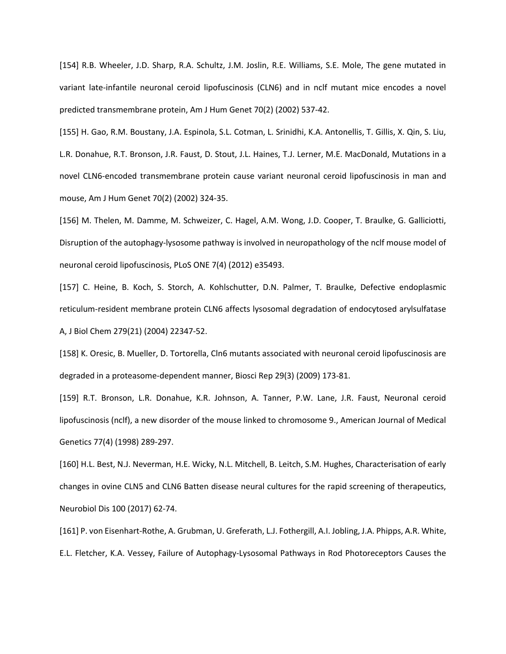[154] R.B. Wheeler, J.D. Sharp, R.A. Schultz, J.M. Joslin, R.E. Williams, S.E. Mole, The gene mutated in variant late-infantile neuronal ceroid lipofuscinosis (CLN6) and in nclf mutant mice encodes a novel predicted transmembrane protein, Am J Hum Genet 70(2) (2002) 537-42.

[155] H. Gao, R.M. Boustany, J.A. Espinola, S.L. Cotman, L. Srinidhi, K.A. Antonellis, T. Gillis, X. Qin, S. Liu, L.R. Donahue, R.T. Bronson, J.R. Faust, D. Stout, J.L. Haines, T.J. Lerner, M.E. MacDonald, Mutations in a novel CLN6-encoded transmembrane protein cause variant neuronal ceroid lipofuscinosis in man and mouse, Am J Hum Genet 70(2) (2002) 324-35.

[156] M. Thelen, M. Damme, M. Schweizer, C. Hagel, A.M. Wong, J.D. Cooper, T. Braulke, G. Galliciotti, Disruption of the autophagy-lysosome pathway is involved in neuropathology of the nclf mouse model of neuronal ceroid lipofuscinosis, PLoS ONE 7(4) (2012) e35493.

[157] C. Heine, B. Koch, S. Storch, A. Kohlschutter, D.N. Palmer, T. Braulke, Defective endoplasmic reticulum-resident membrane protein CLN6 affects lysosomal degradation of endocytosed arylsulfatase A, J Biol Chem 279(21) (2004) 22347-52.

[158] K. Oresic, B. Mueller, D. Tortorella, Cln6 mutants associated with neuronal ceroid lipofuscinosis are degraded in a proteasome-dependent manner, Biosci Rep 29(3) (2009) 173-81.

[159] R.T. Bronson, L.R. Donahue, K.R. Johnson, A. Tanner, P.W. Lane, J.R. Faust, Neuronal ceroid lipofuscinosis (nclf), a new disorder of the mouse linked to chromosome 9., American Journal of Medical Genetics 77(4) (1998) 289-297.

[160] H.L. Best, N.J. Neverman, H.E. Wicky, N.L. Mitchell, B. Leitch, S.M. Hughes, Characterisation of early changes in ovine CLN5 and CLN6 Batten disease neural cultures for the rapid screening of therapeutics, Neurobiol Dis 100 (2017) 62-74.

[161] P. von Eisenhart-Rothe, A. Grubman, U. Greferath, L.J. Fothergill, A.I. Jobling, J.A. Phipps, A.R. White, E.L. Fletcher, K.A. Vessey, Failure of Autophagy-Lysosomal Pathways in Rod Photoreceptors Causes the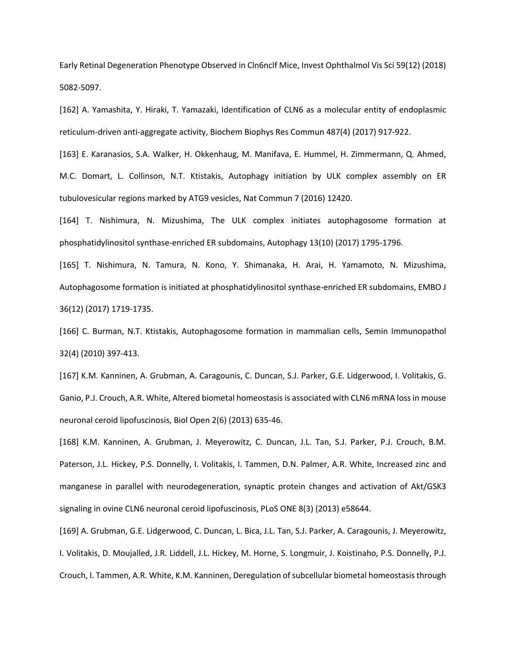Early Retinal Degeneration Phenotype Observed in Cln6nclf Mice, Invest Ophthalmol Vis Sci 59(12) (2018) 5082-5097.

[162] A. Yamashita, Y. Hiraki, T. Yamazaki, Identification of CLN6 as a molecular entity of endoplasmic reticulum-driven anti-aggregate activity, Biochem Biophys Res Commun 487(4) (2017) 917-922.

[163] E. Karanasios, S.A. Walker, H. Okkenhaug, M. Manifava, E. Hummel, H. Zimmermann, Q. Ahmed, M.C. Domart, L. Collinson, N.T. Ktistakis, Autophagy initiation by ULK complex assembly on ER tubulovesicular regions marked by ATG9 vesicles, Nat Commun 7 (2016) 12420.

[164] T. Nishimura, N. Mizushima, The ULK complex initiates autophagosome formation at phosphatidylinositol synthase-enriched ER subdomains, Autophagy 13(10) (2017) 1795-1796.

[165] T. Nishimura, N. Tamura, N. Kono, Y. Shimanaka, H. Arai, H. Yamamoto, N. Mizushima, Autophagosome formation is initiated at phosphatidylinositol synthase-enriched ER subdomains, EMBO J 36(12) (2017) 1719-1735.

[166] C. Burman, N.T. Ktistakis, Autophagosome formation in mammalian cells, Semin Immunopathol 32(4) (2010) 397-413.

[167] K.M. Kanninen, A. Grubman, A. Caragounis, C. Duncan, S.J. Parker, G.E. Lidgerwood, I. Volitakis, G. Ganio, P.J. Crouch, A.R. White, Altered biometal homeostasis is associated with CLN6 mRNA loss in mouse neuronal ceroid lipofuscinosis, Biol Open 2(6) (2013) 635-46.

[168] K.M. Kanninen, A. Grubman, J. Meyerowitz, C. Duncan, J.L. Tan, S.J. Parker, P.J. Crouch, B.M. Paterson, J.L. Hickey, P.S. Donnelly, I. Volitakis, I. Tammen, D.N. Palmer, A.R. White, Increased zinc and manganese in parallel with neurodegeneration, synaptic protein changes and activation of Akt/GSK3 signaling in ovine CLN6 neuronal ceroid lipofuscinosis, PLoS ONE 8(3) (2013) e58644.

[169] A. Grubman, G.E. Lidgerwood, C. Duncan, L. Bica, J.L. Tan, S.J. Parker, A. Caragounis, J. Meyerowitz, I. Volitakis, D. Moujalled, J.R. Liddell, J.L. Hickey, M. Horne, S. Longmuir, J. Koistinaho, P.S. Donnelly, P.J. Crouch, I. Tammen, A.R. White, K.M. Kanninen, Deregulation of subcellular biometal homeostasis through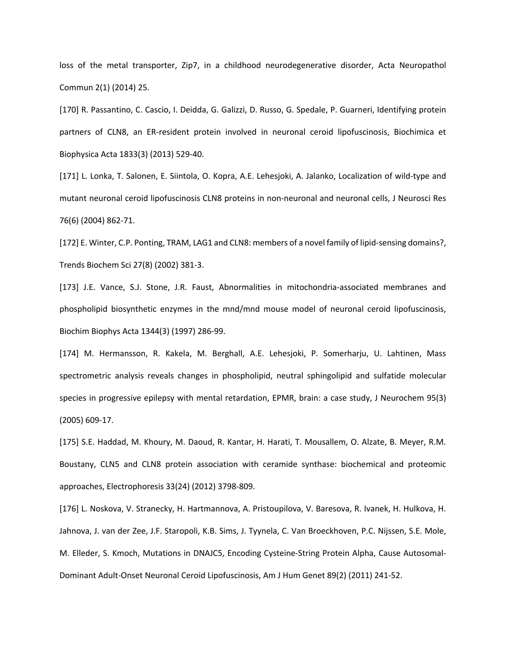loss of the metal transporter, Zip7, in a childhood neurodegenerative disorder, Acta Neuropathol Commun 2(1) (2014) 25.

[170] R. Passantino, C. Cascio, I. Deidda, G. Galizzi, D. Russo, G. Spedale, P. Guarneri, Identifying protein partners of CLN8, an ER-resident protein involved in neuronal ceroid lipofuscinosis, Biochimica et Biophysica Acta 1833(3) (2013) 529-40.

[171] L. Lonka, T. Salonen, E. Siintola, O. Kopra, A.E. Lehesjoki, A. Jalanko, Localization of wild-type and mutant neuronal ceroid lipofuscinosis CLN8 proteins in non-neuronal and neuronal cells, J Neurosci Res 76(6) (2004) 862-71.

[172] E. Winter, C.P. Ponting, TRAM, LAG1 and CLN8: members of a novel family of lipid-sensing domains?, Trends Biochem Sci 27(8) (2002) 381-3.

[173] J.E. Vance, S.J. Stone, J.R. Faust, Abnormalities in mitochondria-associated membranes and phospholipid biosynthetic enzymes in the mnd/mnd mouse model of neuronal ceroid lipofuscinosis, Biochim Biophys Acta 1344(3) (1997) 286-99.

[174] M. Hermansson, R. Kakela, M. Berghall, A.E. Lehesjoki, P. Somerharju, U. Lahtinen, Mass spectrometric analysis reveals changes in phospholipid, neutral sphingolipid and sulfatide molecular species in progressive epilepsy with mental retardation, EPMR, brain: a case study, J Neurochem 95(3) (2005) 609-17.

[175] S.E. Haddad, M. Khoury, M. Daoud, R. Kantar, H. Harati, T. Mousallem, O. Alzate, B. Meyer, R.M. Boustany, CLN5 and CLN8 protein association with ceramide synthase: biochemical and proteomic approaches, Electrophoresis 33(24) (2012) 3798-809.

[176] L. Noskova, V. Stranecky, H. Hartmannova, A. Pristoupilova, V. Baresova, R. Ivanek, H. Hulkova, H. Jahnova, J. van der Zee, J.F. Staropoli, K.B. Sims, J. Tyynela, C. Van Broeckhoven, P.C. Nijssen, S.E. Mole, M. Elleder, S. Kmoch, Mutations in DNAJC5, Encoding Cysteine-String Protein Alpha, Cause Autosomal-Dominant Adult-Onset Neuronal Ceroid Lipofuscinosis, Am J Hum Genet 89(2) (2011) 241-52.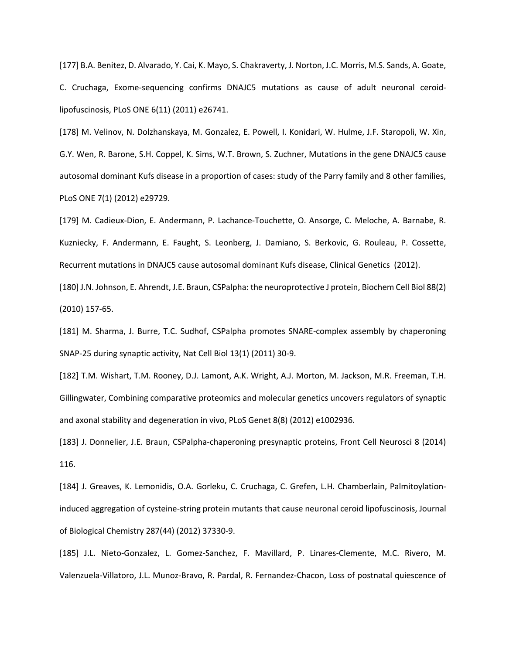[177] B.A. Benitez, D. Alvarado, Y. Cai, K. Mayo, S. Chakraverty, J. Norton, J.C. Morris, M.S. Sands, A. Goate, C. Cruchaga, Exome-sequencing confirms DNAJC5 mutations as cause of adult neuronal ceroidlipofuscinosis, PLoS ONE 6(11) (2011) e26741.

[178] M. Velinov, N. Dolzhanskaya, M. Gonzalez, E. Powell, I. Konidari, W. Hulme, J.F. Staropoli, W. Xin, G.Y. Wen, R. Barone, S.H. Coppel, K. Sims, W.T. Brown, S. Zuchner, Mutations in the gene DNAJC5 cause autosomal dominant Kufs disease in a proportion of cases: study of the Parry family and 8 other families, PLoS ONE 7(1) (2012) e29729.

[179] M. Cadieux-Dion, E. Andermann, P. Lachance-Touchette, O. Ansorge, C. Meloche, A. Barnabe, R. Kuzniecky, F. Andermann, E. Faught, S. Leonberg, J. Damiano, S. Berkovic, G. Rouleau, P. Cossette, Recurrent mutations in DNAJC5 cause autosomal dominant Kufs disease, Clinical Genetics (2012).

[180] J.N. Johnson, E. Ahrendt, J.E. Braun, CSPalpha: the neuroprotective J protein, Biochem Cell Biol 88(2) (2010) 157-65.

[181] M. Sharma, J. Burre, T.C. Sudhof, CSPalpha promotes SNARE-complex assembly by chaperoning SNAP-25 during synaptic activity, Nat Cell Biol 13(1) (2011) 30-9.

[182] T.M. Wishart, T.M. Rooney, D.J. Lamont, A.K. Wright, A.J. Morton, M. Jackson, M.R. Freeman, T.H. Gillingwater, Combining comparative proteomics and molecular genetics uncovers regulators of synaptic and axonal stability and degeneration in vivo, PLoS Genet 8(8) (2012) e1002936.

[183] J. Donnelier, J.E. Braun, CSPalpha-chaperoning presynaptic proteins, Front Cell Neurosci 8 (2014) 116.

[184] J. Greaves, K. Lemonidis, O.A. Gorleku, C. Cruchaga, C. Grefen, L.H. Chamberlain, Palmitoylationinduced aggregation of cysteine-string protein mutants that cause neuronal ceroid lipofuscinosis, Journal of Biological Chemistry 287(44) (2012) 37330-9.

[185] J.L. Nieto-Gonzalez, L. Gomez-Sanchez, F. Mavillard, P. Linares-Clemente, M.C. Rivero, M. Valenzuela-Villatoro, J.L. Munoz-Bravo, R. Pardal, R. Fernandez-Chacon, Loss of postnatal quiescence of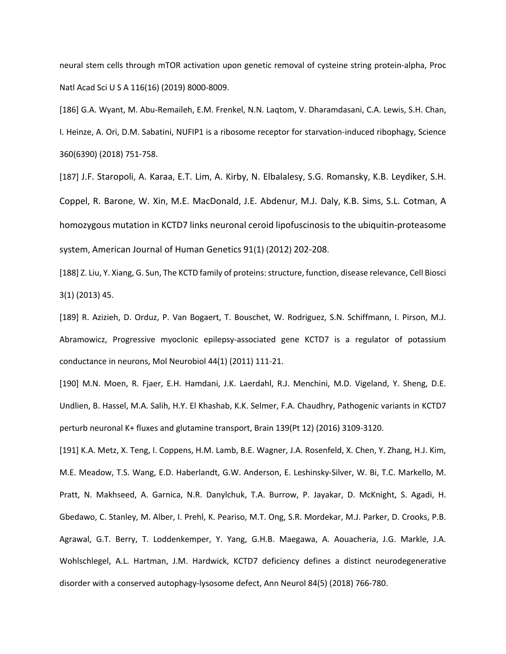neural stem cells through mTOR activation upon genetic removal of cysteine string protein-alpha, Proc Natl Acad Sci U S A 116(16) (2019) 8000-8009.

[186] G.A. Wyant, M. Abu-Remaileh, E.M. Frenkel, N.N. Laqtom, V. Dharamdasani, C.A. Lewis, S.H. Chan, I. Heinze, A. Ori, D.M. Sabatini, NUFIP1 is a ribosome receptor for starvation-induced ribophagy, Science 360(6390) (2018) 751-758.

[187] J.F. Staropoli, A. Karaa, E.T. Lim, A. Kirby, N. Elbalalesy, S.G. Romansky, K.B. Leydiker, S.H. Coppel, R. Barone, W. Xin, M.E. MacDonald, J.E. Abdenur, M.J. Daly, K.B. Sims, S.L. Cotman, A homozygous mutation in KCTD7 links neuronal ceroid lipofuscinosis to the ubiquitin-proteasome system, American Journal of Human Genetics 91(1) (2012) 202-208.

[188] Z. Liu, Y. Xiang, G. Sun, The KCTD family of proteins: structure, function, disease relevance, Cell Biosci 3(1) (2013) 45.

[189] R. Azizieh, D. Orduz, P. Van Bogaert, T. Bouschet, W. Rodriguez, S.N. Schiffmann, I. Pirson, M.J. Abramowicz, Progressive myoclonic epilepsy-associated gene KCTD7 is a regulator of potassium conductance in neurons, Mol Neurobiol 44(1) (2011) 111-21.

[190] M.N. Moen, R. Fjaer, E.H. Hamdani, J.K. Laerdahl, R.J. Menchini, M.D. Vigeland, Y. Sheng, D.E. Undlien, B. Hassel, M.A. Salih, H.Y. El Khashab, K.K. Selmer, F.A. Chaudhry, Pathogenic variants in KCTD7 perturb neuronal K+ fluxes and glutamine transport, Brain 139(Pt 12) (2016) 3109-3120.

[191] K.A. Metz, X. Teng, I. Coppens, H.M. Lamb, B.E. Wagner, J.A. Rosenfeld, X. Chen, Y. Zhang, H.J. Kim, M.E. Meadow, T.S. Wang, E.D. Haberlandt, G.W. Anderson, E. Leshinsky-Silver, W. Bi, T.C. Markello, M. Pratt, N. Makhseed, A. Garnica, N.R. Danylchuk, T.A. Burrow, P. Jayakar, D. McKnight, S. Agadi, H. Gbedawo, C. Stanley, M. Alber, I. Prehl, K. Peariso, M.T. Ong, S.R. Mordekar, M.J. Parker, D. Crooks, P.B. Agrawal, G.T. Berry, T. Loddenkemper, Y. Yang, G.H.B. Maegawa, A. Aouacheria, J.G. Markle, J.A. Wohlschlegel, A.L. Hartman, J.M. Hardwick, KCTD7 deficiency defines a distinct neurodegenerative disorder with a conserved autophagy-lysosome defect, Ann Neurol 84(5) (2018) 766-780.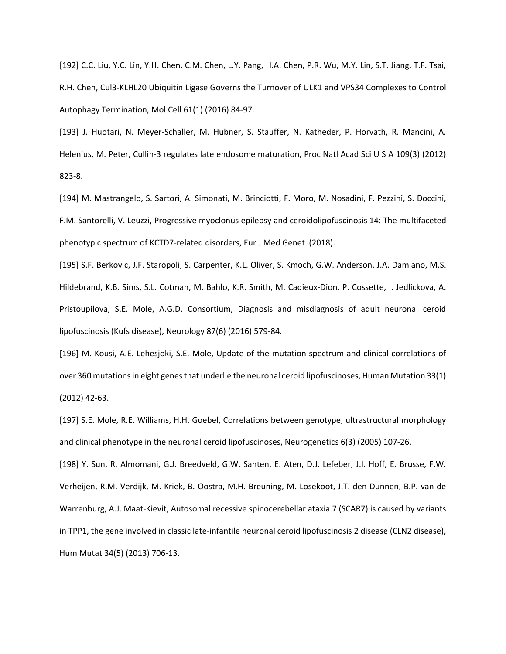[192] C.C. Liu, Y.C. Lin, Y.H. Chen, C.M. Chen, L.Y. Pang, H.A. Chen, P.R. Wu, M.Y. Lin, S.T. Jiang, T.F. Tsai, R.H. Chen, Cul3-KLHL20 Ubiquitin Ligase Governs the Turnover of ULK1 and VPS34 Complexes to Control Autophagy Termination, Mol Cell 61(1) (2016) 84-97.

[193] J. Huotari, N. Meyer-Schaller, M. Hubner, S. Stauffer, N. Katheder, P. Horvath, R. Mancini, A. Helenius, M. Peter, Cullin-3 regulates late endosome maturation, Proc Natl Acad Sci U S A 109(3) (2012) 823-8.

[194] M. Mastrangelo, S. Sartori, A. Simonati, M. Brinciotti, F. Moro, M. Nosadini, F. Pezzini, S. Doccini, F.M. Santorelli, V. Leuzzi, Progressive myoclonus epilepsy and ceroidolipofuscinosis 14: The multifaceted phenotypic spectrum of KCTD7-related disorders, Eur J Med Genet (2018).

[195] S.F. Berkovic, J.F. Staropoli, S. Carpenter, K.L. Oliver, S. Kmoch, G.W. Anderson, J.A. Damiano, M.S. Hildebrand, K.B. Sims, S.L. Cotman, M. Bahlo, K.R. Smith, M. Cadieux-Dion, P. Cossette, I. Jedlickova, A. Pristoupilova, S.E. Mole, A.G.D. Consortium, Diagnosis and misdiagnosis of adult neuronal ceroid lipofuscinosis (Kufs disease), Neurology 87(6) (2016) 579-84.

[196] M. Kousi, A.E. Lehesjoki, S.E. Mole, Update of the mutation spectrum and clinical correlations of over 360 mutations in eight genes that underlie the neuronal ceroid lipofuscinoses, Human Mutation 33(1) (2012) 42-63.

[197] S.E. Mole, R.E. Williams, H.H. Goebel, Correlations between genotype, ultrastructural morphology and clinical phenotype in the neuronal ceroid lipofuscinoses, Neurogenetics 6(3) (2005) 107-26.

[198] Y. Sun, R. Almomani, G.J. Breedveld, G.W. Santen, E. Aten, D.J. Lefeber, J.I. Hoff, E. Brusse, F.W. Verheijen, R.M. Verdijk, M. Kriek, B. Oostra, M.H. Breuning, M. Losekoot, J.T. den Dunnen, B.P. van de Warrenburg, A.J. Maat-Kievit, Autosomal recessive spinocerebellar ataxia 7 (SCAR7) is caused by variants in TPP1, the gene involved in classic late-infantile neuronal ceroid lipofuscinosis 2 disease (CLN2 disease), Hum Mutat 34(5) (2013) 706-13.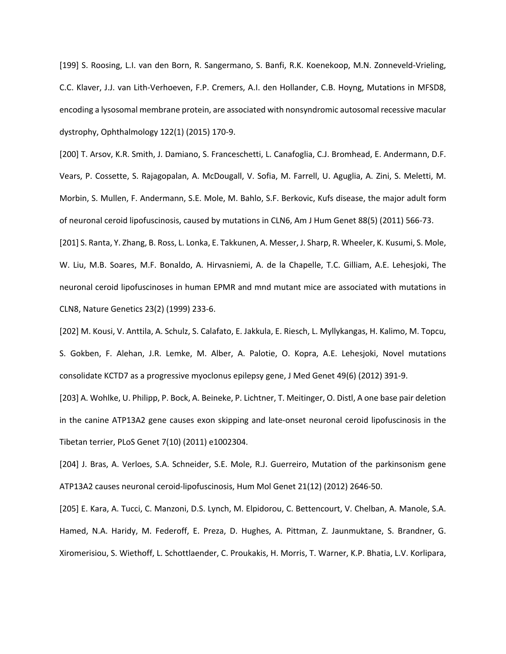[199] S. Roosing, L.I. van den Born, R. Sangermano, S. Banfi, R.K. Koenekoop, M.N. Zonneveld-Vrieling, C.C. Klaver, J.J. van Lith-Verhoeven, F.P. Cremers, A.I. den Hollander, C.B. Hoyng, Mutations in MFSD8, encoding a lysosomal membrane protein, are associated with nonsyndromic autosomal recessive macular dystrophy, Ophthalmology 122(1) (2015) 170-9.

[200] T. Arsov, K.R. Smith, J. Damiano, S. Franceschetti, L. Canafoglia, C.J. Bromhead, E. Andermann, D.F. Vears, P. Cossette, S. Rajagopalan, A. McDougall, V. Sofia, M. Farrell, U. Aguglia, A. Zini, S. Meletti, M. Morbin, S. Mullen, F. Andermann, S.E. Mole, M. Bahlo, S.F. Berkovic, Kufs disease, the major adult form of neuronal ceroid lipofuscinosis, caused by mutations in CLN6, Am J Hum Genet 88(5) (2011) 566-73.

[201] S. Ranta, Y. Zhang, B. Ross, L. Lonka, E. Takkunen, A. Messer, J. Sharp, R. Wheeler, K. Kusumi, S. Mole, W. Liu, M.B. Soares, M.F. Bonaldo, A. Hirvasniemi, A. de la Chapelle, T.C. Gilliam, A.E. Lehesjoki, The neuronal ceroid lipofuscinoses in human EPMR and mnd mutant mice are associated with mutations in CLN8, Nature Genetics 23(2) (1999) 233-6.

[202] M. Kousi, V. Anttila, A. Schulz, S. Calafato, E. Jakkula, E. Riesch, L. Myllykangas, H. Kalimo, M. Topcu, S. Gokben, F. Alehan, J.R. Lemke, M. Alber, A. Palotie, O. Kopra, A.E. Lehesjoki, Novel mutations consolidate KCTD7 as a progressive myoclonus epilepsy gene, J Med Genet 49(6) (2012) 391-9.

[203] A. Wohlke, U. Philipp, P. Bock, A. Beineke, P. Lichtner, T. Meitinger, O. Distl, A one base pair deletion in the canine ATP13A2 gene causes exon skipping and late-onset neuronal ceroid lipofuscinosis in the Tibetan terrier, PLoS Genet 7(10) (2011) e1002304.

[204] J. Bras, A. Verloes, S.A. Schneider, S.E. Mole, R.J. Guerreiro, Mutation of the parkinsonism gene ATP13A2 causes neuronal ceroid-lipofuscinosis, Hum Mol Genet 21(12) (2012) 2646-50.

[205] E. Kara, A. Tucci, C. Manzoni, D.S. Lynch, M. Elpidorou, C. Bettencourt, V. Chelban, A. Manole, S.A. Hamed, N.A. Haridy, M. Federoff, E. Preza, D. Hughes, A. Pittman, Z. Jaunmuktane, S. Brandner, G. Xiromerisiou, S. Wiethoff, L. Schottlaender, C. Proukakis, H. Morris, T. Warner, K.P. Bhatia, L.V. Korlipara,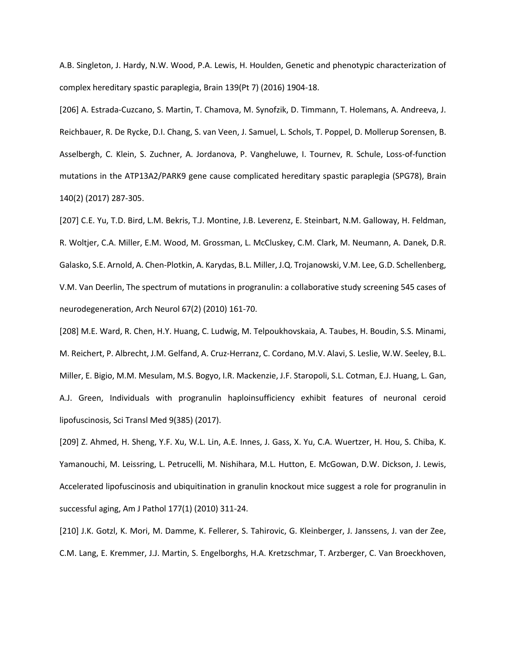A.B. Singleton, J. Hardy, N.W. Wood, P.A. Lewis, H. Houlden, Genetic and phenotypic characterization of complex hereditary spastic paraplegia, Brain 139(Pt 7) (2016) 1904-18.

[206] A. Estrada-Cuzcano, S. Martin, T. Chamova, M. Synofzik, D. Timmann, T. Holemans, A. Andreeva, J. Reichbauer, R. De Rycke, D.I. Chang, S. van Veen, J. Samuel, L. Schols, T. Poppel, D. Mollerup Sorensen, B. Asselbergh, C. Klein, S. Zuchner, A. Jordanova, P. Vangheluwe, I. Tournev, R. Schule, Loss-of-function mutations in the ATP13A2/PARK9 gene cause complicated hereditary spastic paraplegia (SPG78), Brain 140(2) (2017) 287-305.

[207] C.E. Yu, T.D. Bird, L.M. Bekris, T.J. Montine, J.B. Leverenz, E. Steinbart, N.M. Galloway, H. Feldman, R. Woltjer, C.A. Miller, E.M. Wood, M. Grossman, L. McCluskey, C.M. Clark, M. Neumann, A. Danek, D.R. Galasko, S.E. Arnold, A. Chen-Plotkin, A. Karydas, B.L. Miller, J.Q. Trojanowski, V.M. Lee, G.D. Schellenberg, V.M. Van Deerlin, The spectrum of mutations in progranulin: a collaborative study screening 545 cases of neurodegeneration, Arch Neurol 67(2) (2010) 161-70.

[208] M.E. Ward, R. Chen, H.Y. Huang, C. Ludwig, M. Telpoukhovskaia, A. Taubes, H. Boudin, S.S. Minami, M. Reichert, P. Albrecht, J.M. Gelfand, A. Cruz-Herranz, C. Cordano, M.V. Alavi, S. Leslie, W.W. Seeley, B.L. Miller, E. Bigio, M.M. Mesulam, M.S. Bogyo, I.R. Mackenzie, J.F. Staropoli, S.L. Cotman, E.J. Huang, L. Gan, A.J. Green, Individuals with progranulin haploinsufficiency exhibit features of neuronal ceroid lipofuscinosis, Sci Transl Med 9(385) (2017).

[209] Z. Ahmed, H. Sheng, Y.F. Xu, W.L. Lin, A.E. Innes, J. Gass, X. Yu, C.A. Wuertzer, H. Hou, S. Chiba, K. Yamanouchi, M. Leissring, L. Petrucelli, M. Nishihara, M.L. Hutton, E. McGowan, D.W. Dickson, J. Lewis, Accelerated lipofuscinosis and ubiquitination in granulin knockout mice suggest a role for progranulin in successful aging, Am J Pathol 177(1) (2010) 311-24.

[210] J.K. Gotzl, K. Mori, M. Damme, K. Fellerer, S. Tahirovic, G. Kleinberger, J. Janssens, J. van der Zee, C.M. Lang, E. Kremmer, J.J. Martin, S. Engelborghs, H.A. Kretzschmar, T. Arzberger, C. Van Broeckhoven,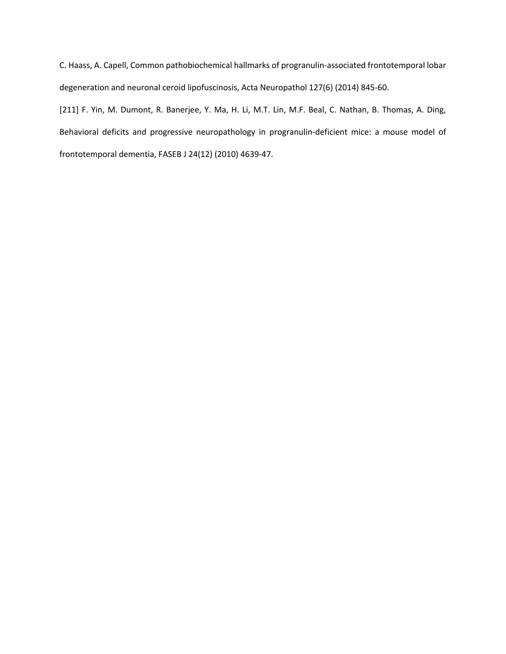C. Haass, A. Capell, Common pathobiochemical hallmarks of progranulin-associated frontotemporal lobar degeneration and neuronal ceroid lipofuscinosis, Acta Neuropathol 127(6) (2014) 845-60.

[211] F. Yin, M. Dumont, R. Banerjee, Y. Ma, H. Li, M.T. Lin, M.F. Beal, C. Nathan, B. Thomas, A. Ding, Behavioral deficits and progressive neuropathology in progranulin-deficient mice: a mouse model of frontotemporal dementia, FASEB J 24(12) (2010) 4639-47.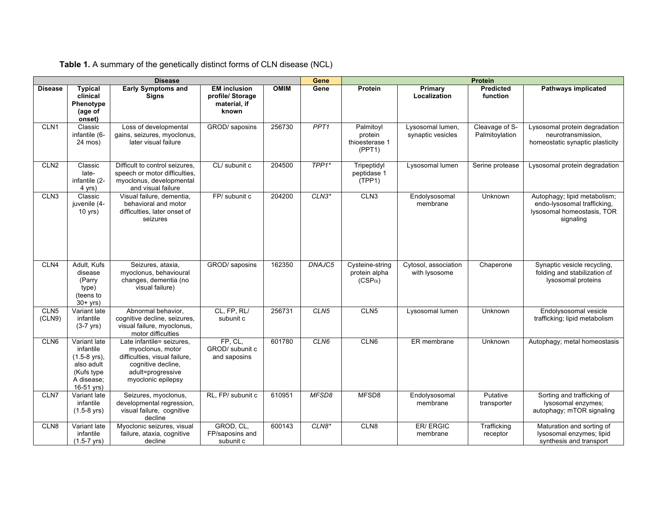|                            | <b>Disease</b>                                                                                      |                                                                                                                                                 |                                                                  |             |                  | Protein                                           |                                       |                                  |                                                                                                        |
|----------------------------|-----------------------------------------------------------------------------------------------------|-------------------------------------------------------------------------------------------------------------------------------------------------|------------------------------------------------------------------|-------------|------------------|---------------------------------------------------|---------------------------------------|----------------------------------|--------------------------------------------------------------------------------------------------------|
| <b>Disease</b>             | <b>Typical</b><br>clinical<br>Phenotype<br>(age of<br>onset)                                        | <b>Early Symptoms and</b><br>Signs                                                                                                              | <b>EM</b> inclusion<br>profile/ Storage<br>material, if<br>known | <b>OMIM</b> | Gene             | Protein                                           | Primary<br>Localization               | Predicted<br>function            | <b>Pathways implicated</b>                                                                             |
| CLN <sub>1</sub>           | Classic<br>infantile (6-<br>24 mos)                                                                 | Loss of developmental<br>gains, seizures, myoclonus,<br>later visual failure                                                                    | GROD/ saposins                                                   | 256730      | PPT <sub>1</sub> | Palmitoyl<br>protein<br>thioesterase 1<br>(PPT1)  | Lysosomal lumen,<br>synaptic vesicles | Cleavage of S-<br>Palmitoylation | Lysosomal protein degradation<br>neurotransmission,<br>homeostatic synaptic plasticity                 |
| CLN2                       | Classic<br>late-<br>infantile (2-<br>4 yrs)                                                         | Difficult to control seizures,<br>speech or motor difficulties.<br>myoclonus, developmental<br>and visual failure                               | CL/ subunit c                                                    | 204500      | $TPP1*$          | Tripeptidyl<br>peptidase 1<br>(TPP1)              | Lysosomal lumen                       | Serine protease                  | Lysosomal protein degradation                                                                          |
| CLN3                       | Classic<br>juvenile (4-<br>10 yrs)                                                                  | Visual failure, dementia,<br>behavioral and motor<br>difficulties, later onset of<br>seizures                                                   | FP/ subunit c                                                    | 204200      | $CLN3*$          | CLN3                                              | Endolysosomal<br>membrane             | Unknown                          | Autophagy; lipid metabolism;<br>endo-lysosomal trafficking,<br>lysosomal homeostasis, TOR<br>signaling |
| CLN4                       | Adult, Kufs<br>disease<br>(Parry<br>type)<br>(teens to<br>$30+$ yrs)                                | Seizures, ataxia,<br>myoclonus, behavioural<br>changes, dementia (no<br>visual failure)                                                         | GROD/ saposins                                                   | 162350      | DNAJC5           | Cysteine-string<br>protein alpha<br>$(CSP\alpha)$ | Cytosol, association<br>with lysosome | Chaperone                        | Synaptic vesicle recycling,<br>folding and stabilization of<br>lysosomal proteins                      |
| CLN <sub>5</sub><br>(CLN9) | Variant late<br>infantile<br>$(3-7$ yrs)                                                            | Abnormal behavior,<br>cognitive decline, seizures,<br>visual failure, myoclonus,<br>motor difficulties                                          | CL, FP, RL/<br>subunit c                                         | 256731      | CLN5             | CLN <sub>5</sub>                                  | Lysosomal lumen                       | Unknown                          | Endolysosomal vesicle<br>trafficking; lipid metabolism                                                 |
| CLN6                       | Variant late<br>infantile<br>$(1.5-8$ yrs),<br>also adult<br>(Kufs type<br>A disease;<br>16-51 yrs) | Late infantile= seizures.<br>myoclonus, motor<br>difficulties, visual failure,<br>cognitive decline,<br>adult=progressive<br>myoclonic epilepsy | FP, CL,<br>GROD/ subunit c<br>and saposins                       | 601780      | CLN6             | CLN6                                              | ER membrane                           | Unknown                          | Autophagy; metal homeostasis                                                                           |
| CLN7                       | Variant late<br>infantile<br>$(1.5-8$ yrs)                                                          | Seizures, myoclonus,<br>developmental regression,<br>visual failure, cognitive<br>decline                                                       | RL, FP/ subunit c                                                | 610951      | MFSD8            | MFSD8                                             | Endolysosomal<br>membrane             | Putative<br>transporter          | Sorting and trafficking of<br>lysosomal enzymes;<br>autophagy; mTOR signaling                          |
| CLN8                       | Variant late<br>infantile<br>$(1.5 - 7 \text{ yrs})$                                                | Myoclonic seizures, visual<br>failure, ataxia, cognitive<br>decline                                                                             | GROD, CL,<br>FP/saposins and<br>subunit c                        | 600143      | $CLN8*$          | CLN <sub>8</sub>                                  | <b>ER/ERGIC</b><br>membrane           | Trafficking<br>receptor          | Maturation and sorting of<br>lysosomal enzymes; lipid<br>synthesis and transport                       |

**Table 1.** A summary of the genetically distinct forms of CLN disease (NCL)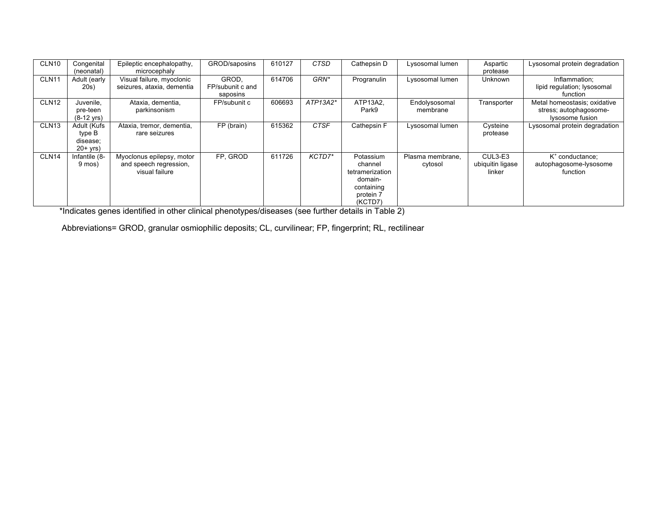| CLN <sub>10</sub> | Congenital<br>(neonatal)                        | Epileptic encephalopathy,<br>microcephaly                             | GROD/saposins                         | 610127 | <b>CTSD</b> | Cathepsin D                                                                              | Lysosomal lumen             | Aspartic<br>protease                  | Lysosomal protein degradation                                             |
|-------------------|-------------------------------------------------|-----------------------------------------------------------------------|---------------------------------------|--------|-------------|------------------------------------------------------------------------------------------|-----------------------------|---------------------------------------|---------------------------------------------------------------------------|
| CLN <sub>11</sub> | Adult (early<br>20s)                            | Visual failure, myoclonic<br>seizures, ataxia, dementia               | GROD.<br>FP/subunit c and<br>saposins | 614706 | GRN*        | Progranulin                                                                              | Lysosomal lumen             | Unknown                               | Inflammation;<br>lipid regulation; lysosomal<br>function                  |
| CLN <sub>12</sub> | Juvenile.<br>pre-teen<br>$(8-12 \text{ yrs})$   | Ataxia, dementia,<br>parkinsonism                                     | FP/subunit c                          | 606693 | $ATP13A2*$  | ATP13A2.<br>Park9                                                                        | Endolysosomal<br>membrane   | Transporter                           | Metal homeostasis; oxidative<br>stress; autophagosome-<br>lysosome fusion |
| CLN <sub>13</sub> | Adult (Kufs<br>type B<br>disease;<br>$20+$ yrs) | Ataxia, tremor, dementia,<br>rare seizures                            | FP (brain)                            | 615362 | <b>CTSF</b> | Cathepsin F                                                                              | Lysosomal lumen             | Cysteine<br>protease                  | Lysosomal protein degradation                                             |
| CLN <sub>14</sub> | Infantile (8-<br>9 mos)                         | Myoclonus epilepsy, motor<br>and speech regression,<br>visual failure | FP. GROD                              | 611726 | KCTD7*      | Potassium<br>channel<br>tetramerization<br>domain-<br>containing<br>protein 7<br>(KCTD7) | Plasma membrane,<br>cytosol | CUL3-E3<br>ubiquitin ligase<br>linker | $K^*$ conductance;<br>autophagosome-lysosome<br>function                  |

\*Indicates genes identified in other clinical phenotypes/diseases (see further details in Table 2)

Abbreviations= GROD, granular osmiophilic deposits; CL, curvilinear; FP, fingerprint; RL, rectilinear